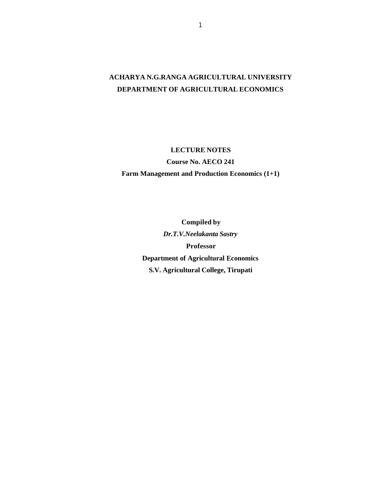# **ACHARYA N.G.RANGA AGRICULTURAL UNIVERSITY DEPARTMENT OF AGRICULTURAL ECONOMICS**

**LECTURE NOTES**

**Course No. AECO 241**

**Farm Management and Production Economics (1+1)**

**Compiled by** *Dr.T.V.Neelakanta Sastry* **Professor Department of Agricultural Economics S.V. Agricultural College, Tirupati**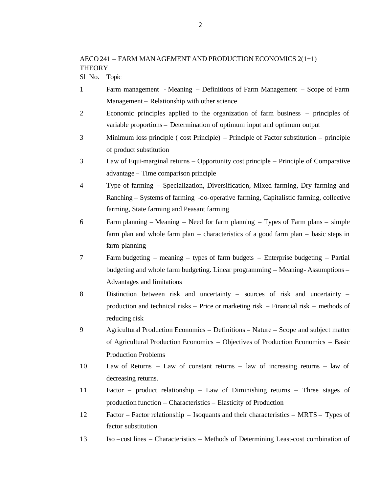Sl No. Topic

- 1 Farm management Meaning Definitions of Farm Management Scope of Farm Management – Relationship with other science
- 2 Economic principles applied to the organization of farm business principles of variable proportions – Determination of optimum input and optimum output
- 3 Minimum loss principle ( cost Principle) Principle of Factor substitution principle of product substitution
- 3 Law of Equi-marginal returns Opportunity cost principle Principle of Comparative advantage – Time comparison principle
- 4 Type of farming Specialization, Diversification, Mixed farming, Dry farming and Ranching – Systems of farming -co-operative farming, Capitalistic farming, collective farming, State farming and Peasant farming
- 6 Farm planning Meaning Need for farm planning Types of Farm plans simple farm plan and whole farm plan – characteristics of a good farm plan – basic steps in farm planning
- 7 Farm budgeting meaning types of farm budgets Enterprise budgeting Partial budgeting and whole farm budgeting. Linear programming – Meaning- Assumptions – Advantages and limitations
- 8 Distinction between risk and uncertainty sources of risk and uncertainty production and technical risks – Price or marketing risk – Financial risk – methods of reducing risk
- 9 Agricultural Production Economics Definitions Nature Scope and subject matter of Agricultural Production Economics – Objectives of Production Economics – Basic Production Problems
- 10 Law of Returns Law of constant returns law of increasing returns law of decreasing returns.
- 11 Factor product relationship Law of Diminishing returns Three stages of production function – Characteristics – Elasticity of Production
- 12 Factor Factor relationship Isoquants and their characteristics MRTS Types of factor substitution
- 13 Iso –cost lines Characteristics Methods of Determining Least-cost combination of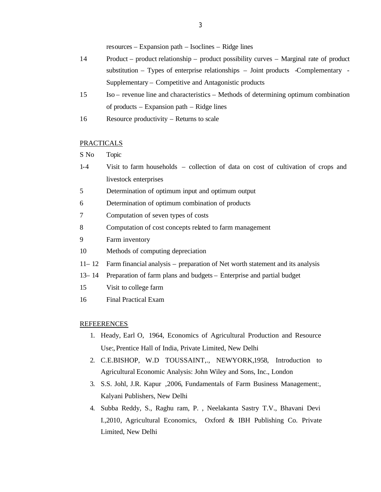resources – Expansion path – Isoclines – Ridge lines

- 14 Product product relationship product possibility curves Marginal rate of product substitution – Types of enterprise relationships – Joint products -Complementary - Supplementary – Competitive and Antagonistic products
- 15 Iso revenue line and characteristics Methods of determining optimum combination of products – Expansion path – Ridge lines
- 16 Resource productivity Returns to scale

# PRACTICALS

S No Topic

- 1-4 Visit to farm households collection of data on cost of cultivation of crops and livestock enterprises
- 5 Determination of optimum input and optimum output
- 6 Determination of optimum combination of products
- 7 Computation of seven types of costs
- 8 Computation of cost concepts related to farm management
- 9 Farm inventory
- 10 Methods of computing depreciation
- 11– 12 Farm financial analysis preparation of Net worth statement and its analysis
- 13– 14 Preparation of farm plans and budgets Enterprise and partial budget
- 15 Visit to college farm
- 16 Final Practical Exam

#### REFEERENCES

- 1. Heady, Earl O, 1964, Economics of Agricultural Production and Resource Use:, Prentice Hall of India, Private Limited, New Delhi
- 2. C.E.BISHOP, W.D TOUSSAINT,., NEWYORK,1958, Introduction to Agricultural Economic Analysis: John Wiley and Sons, Inc., London
- 3. S.S. Johl, J.R. Kapur ,2006, Fundamentals of Farm Business Management:, Kalyani Publishers, New Delhi
- 4. Subba Reddy, S., Raghu ram, P. , Neelakanta Sastry T.V., Bhavani Devi I.,2010, Agricultural Economics, Oxford & IBH Publishing Co. Private Limited, New Delhi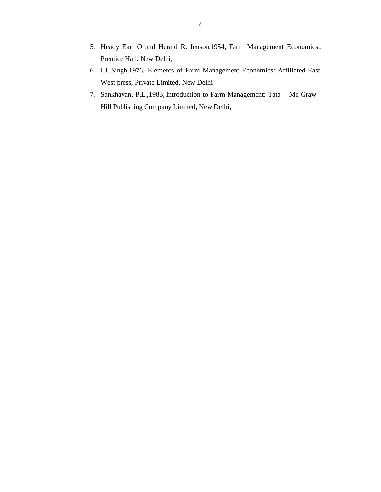- 5. Heady Earl O and Herald R. Jenson,1954, Farm Management Economics:, Prentice Hall, New Delhi,
- 6. I.J. Singh,1976, Elements of Farm Management Economics: Affiliated East-West press, Private Limited, New Delhi
- 7. Sankhayan, P.L.,1983, Introduction to Farm Management: Tata Mc Graw Hill Publishing Company Limited, New Delhi,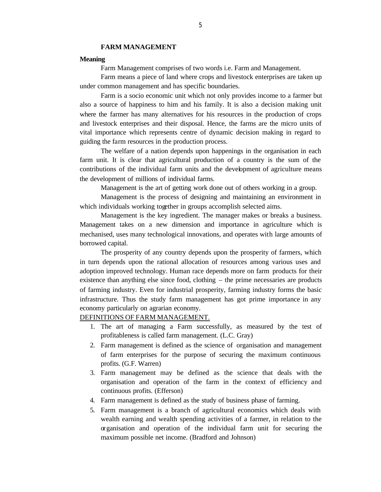#### **FARM MANAGEMENT**

## **Meaning**

Farm Management comprises of two words i.e. Farm and Management.

Farm means a piece of land where crops and livestock enterprises are taken up under common management and has specific boundaries.

Farm is a socio economic unit which not only provides income to a farmer but also a source of happiness to him and his family. It is also a decision making unit where the farmer has many alternatives for his resources in the production of crops and livestock enterprises and their disposal. Hence, the farms are the micro units of vital importance which represents centre of dynamic decision making in regard to guiding the farm resources in the production process.

The welfare of a nation depends upon happenings in the organisation in each farm unit. It is clear that agricultural production of a country is the sum of the contributions of the individual farm units and the development of agriculture means the development of millions of individual farms.

Management is the art of getting work done out of others working in a group.

Management is the process of designing and maintaining an environment in which individuals working together in groups accomplish selected aims.

Management is the key ingredient. The manager makes or breaks a business. Management takes on a new dimension and importance in agriculture which is mechanised, uses many technological innovations, and operates with large amounts of borrowed capital.

The prosperity of any country depends upon the prosperity of farmers, which in turn depends upon the rational allocation of resources among various uses and adoption improved technology. Human race depends more on farm products for their existence than anything else since food, clothing – the prime necessaries are products of farming industry. Even for industrial prosperity, farming industry forms the basic infrastructure. Thus the study farm management has got prime importance in any economy particularly on agrarian economy.

# DEFINITIONS OF FARM MANAGEMENT.

- 1. The art of managing a Farm successfully, as measured by the test of profitableness is called farm management. (L.C. Gray)
- 2. Farm management is defined as the science of organisation and management of farm enterprises for the purpose of securing the maximum continuous profits. (G.F. Warren)
- 3. Farm management may be defined as the science that deals with the organisation and operation of the farm in the context of efficiency and continuous profits. (Efferson)
- 4. Farm management is defined as the study of business phase of farming.
- 5. Farm management is a branch of agricultural economics which deals with wealth earning and wealth spending activities of a farmer, in relation to the organisation and operation of the individual farm unit for securing the maximum possible net income. (Bradford and Johnson)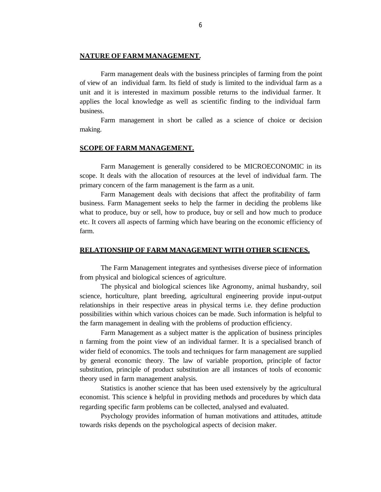# **NATURE OF FARM MANAGEMENT.**

Farm management deals with the business principles of farming from the point of view of an individual farm. Its field of study is limited to the individual farm as a unit and it is interested in maximum possible returns to the individual farmer. It applies the local knowledge as well as scientific finding to the individual farm business.

Farm management in short be called as a science of choice or decision making.

# **SCOPE OF FARM MANAGEMENT.**

Farm Management is generally considered to be MICROECONOMIC in its scope. It deals with the allocation of resources at the level of individual farm. The primary concern of the farm management is the farm as a unit.

Farm Management deals with decisions that affect the profitability of farm business. Farm Management seeks to help the farmer in deciding the problems like what to produce, buy or sell, how to produce, buy or sell and how much to produce etc. It covers all aspects of farming which have bearing on the economic efficiency of farm.

#### **RELATIONSHIP OF FARM MANAGEMENT WITH OTHER SCIENCES.**

The Farm Management integrates and synthesises diverse piece of information from physical and biological sciences of agriculture.

The physical and biological sciences like Agronomy, animal husbandry, soil science, horticulture, plant breeding, agricultural engineering provide input-output relationships in their respective areas in physical terms i.e. they define production possibilities within which various choices can be made. Such information is helpful to the farm management in dealing with the problems of production efficiency.

Farm Management as a subject matter is the application of business principles n farming from the point view of an individual farmer. It is a specialised branch of wider field of economics. The tools and techniques for farm management are supplied by general economic theory. The law of variable proportion, principle of factor substitution, principle of product substitution are all instances of tools of economic theory used in farm management analysis.

Statistics is another science that has been used extensively by the agricultural economist. This science is helpful in providing methods and procedures by which data regarding specific farm problems can be collected, analysed and evaluated.

Psychology provides information of human motivations and attitudes, attitude towards risks depends on the psychological aspects of decision maker.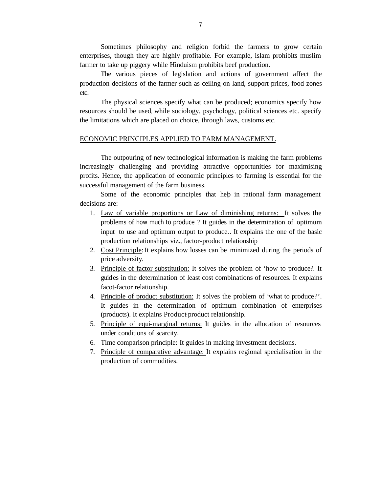Sometimes philosophy and religion forbid the farmers to grow certain enterprises, though they are highly profitable. For example, islam prohibits muslim farmer to take up piggery while Hinduism prohibits beef production.

The various pieces of legislation and actions of government affect the production decisions of the farmer such as ceiling on land, support prices, food zones etc.

The physical sciences specify what can be produced; economics specify how resources should be used, while sociology, psychology, political sciences etc. specify the limitations which are placed on choice, through laws, customs etc.

# ECONOMIC PRINCIPLES APPLIED TO FARM MANAGEMENT.

The outpouring of new technological information is making the farm problems increasingly challenging and providing attractive opportunities for maximising profits. Hence, the application of economic principles to farming is essential for the successful management of the farm business.

Some of the economic principles that help in rational farm management decisions are:

- 1. Law of variable proportions or Law of diminishing returns: It solves the problems of how much to produce ? It guides in the determination of optimum input to use and optimum output to produce.. It explains the one of the basic production relationships viz., factor-product relationship
- 2. Cost Principle: It explains how losses can be minimized during the periods of price adversity.
- 3. Principle of factor substitution: It solves the problem of 'how to produce?. It guides in the determination of least cost combinations of resources. It explains facot-factor relationship.
- 4. Principle of product substitution: It solves the problem of 'what to produce?'. It guides in the determination of optimum combination of enterprises (products). It explains Product-product relationship.
- 5. Principle of equi-marginal returns: It guides in the allocation of resources under conditions of scarcity.
- 6. Time comparison principle: It guides in making investment decisions.
- 7. Principle of comparative advantage: It explains regional specialisation in the production of commodities.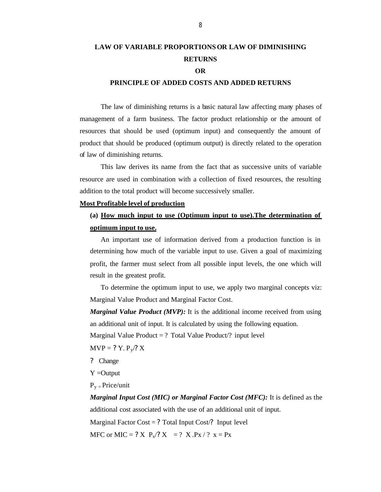# **LAW OF VARIABLE PROPORTIONSOR LAW OF DIMINISHING RETURNS**

# **OR**

# **PRINCIPLE OF ADDED COSTS AND ADDED RETURNS**

The law of diminishing returns is a basic natural law affecting many phases of management of a farm business. The factor product relationship or the amount of resources that should be used (optimum input) and consequently the amount of product that should be produced (optimum output) is directly related to the operation of law of diminishing returns.

This law derives its name from the fact that as successive units of variable resource are used in combination with a collection of fixed resources, the resulting addition to the total product will become successively smaller.

#### **Most Profitable level of production**

# **(a) How much input to use (Optimum input to use).The determination of optimum input to use.**

An important use of information derived from a production function is in determining how much of the variable input to use. Given a goal of maximizing profit, the farmer must select from all possible input levels, the one which will result in the greatest profit.

To determine the optimum input to use, we apply two marginal concepts viz: Marginal Value Product and Marginal Factor Cost.

*Marginal Value Product (MVP):* It is the additional income received from using an additional unit of input. It is calculated by using the following equation.

Marginal Value Product  $= ?$  Total Value Product $/ ?$  input level

 $MVP = ? Y. P_v$ ? X

? Change

Y =Output

 $P_v = Price/unit$ 

*Marginal Input Cost (MIC) or Marginal Factor Cost (MFC):* It is defined as the additional cost associated with the use of an additional unit of input. Marginal Factor  $Cost = ?$  Total Input Cost $\frac{?}{?}$  Input level

MFC or MIC = ? X  $P_x$ /? X = ? X . $P_x$  / ?  $x = P_x$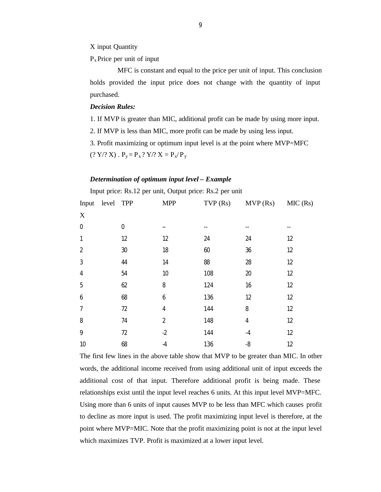X input Quantity

 $P_{x}$  Price per unit of input

 MFC is constant and equal to the price per unit of input. This conclusion holds provided the input price does not change with the quantity of input purchased.

#### *Decision Rules:*

1. If MVP is greater than MIC, additional profit can be made by using more input.

2. If MVP is less than MIC, more profit can be made by using less input.

3. Profit maximizing or optimum input level is at the point where MVP=MFC

 $(? Y \, ? \, X)$ .  $P_y = P_x ? \, Y \, ? \, X = P_x / P_y$ 

#### *Determination of optimum input level – Example*

|                | Input price: Rs.12 per unit, Output price: Rs.2 per unit |            |                |         |         |         |  |
|----------------|----------------------------------------------------------|------------|----------------|---------|---------|---------|--|
| Input          | level                                                    | <b>TPP</b> | <b>MPP</b>     | TVP(Rs) | MVP(Rs) | MIC(Rs) |  |
| X              |                                                          |            |                |         |         |         |  |
| $\mathbf 0$    |                                                          | 0          |                |         |         |         |  |
| 1              |                                                          | 12         | 12             | 24      | 24      | 12      |  |
| $\overline{2}$ |                                                          | 30         | 18             | 60      | 36      | 12      |  |
| 3              |                                                          | 44         | 14             | 88      | 28      | 12      |  |
| 4              |                                                          | 54         | 10             | 108     | 20      | 12      |  |
| 5              |                                                          | 62         | 8              | 124     | 16      | 12      |  |
| 6              |                                                          | 68         | 6              | 136     | 12      | 12      |  |
| 7              |                                                          | 72         | 4              | 144     | 8       | 12      |  |
| 8              |                                                          | 74         | $\overline{2}$ | 148     | 4       | 12      |  |
| 9              |                                                          | 72         | $-2$           | 144     | -4      | 12      |  |
| 10             |                                                          | 68         | -4             | 136     | -8      | 12      |  |

The first few lines in the above table show that MVP to be greater than MIC. In other words, the additional income received from using additional unit of input exceeds the additional cost of that input. Therefore additional profit is being made. These relationships exist until the input level reaches 6 units. At this input level MVP=MFC. Using more than 6 units of input causes MVP to be less than MFC which causes profit to decline as more input is used. The profit maximizing input level is therefore, at the point where MVP=MIC. Note that the profit maximizing point is not at the input level which maximizes TVP. Profit is maximized at a lower input level.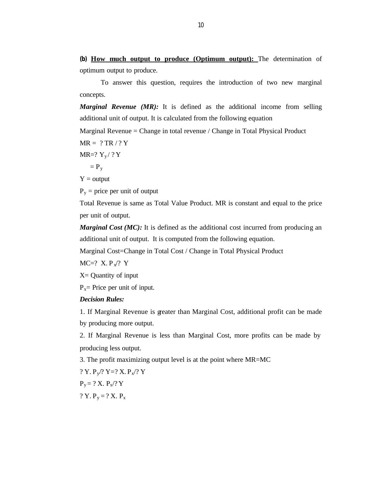**(b) How much output to produce (Optimum output):** The determination of optimum output to produce.

To answer this question, requires the introduction of two new marginal concepts.

*Marginal Revenue (MR):* It is defined as the additional income from selling additional unit of output. It is calculated from the following equation

Marginal Revenue = Change in total revenue / Change in Total Physical Product

 $MR = ? TR / ? Y$ 

$$
MR=? Y_y / ?Y
$$

 $= P_y$ 

 $Y =$  output

 $P_y$  = price per unit of output

Total Revenue is same as Total Value Product. MR is constant and equal to the price per unit of output.

*Marginal Cost (MC):* It is defined as the additional cost incurred from producing an additional unit of output. It is computed from the following equation.

Marginal Cost=Change in Total Cost / Change in Total Physical Product

 $MC=? X.P_x? Y$ 

 $X =$  Quantity of input

 $P_x$ = Price per unit of input.

*Decision Rules:*

1. If Marginal Revenue is greater than Marginal Cost, additional profit can be made by producing more output.

2. If Marginal Revenue is less than Marginal Cost, more profits can be made by producing less output.

3. The profit maximizing output level is at the point where MR=MC

? Y.  $P_v$ /? Y=? X.  $P_x$ /? Y  $P_y = ? X. P_x / ? Y$ ? Y.  $P_y = ? X$ .  $P_x$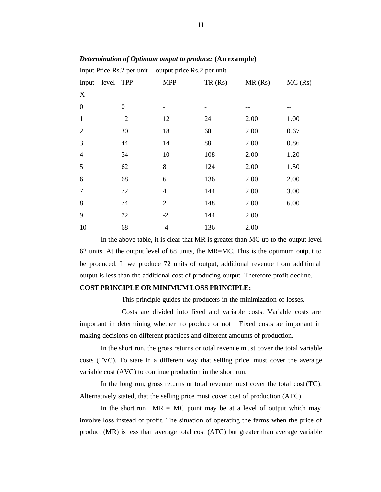|                  |           |                  | Input Price Rs.2 per unit output price Rs.2 per unit |        |        |         |
|------------------|-----------|------------------|------------------------------------------------------|--------|--------|---------|
| Input            | level TPP |                  | <b>MPP</b>                                           | TR(Rs) | MR(Rs) | MC (Rs) |
| X                |           |                  |                                                      |        |        |         |
| $\boldsymbol{0}$ |           | $\boldsymbol{0}$ |                                                      | -      |        |         |
| $\mathbf{1}$     |           | 12               | 12                                                   | 24     | 2.00   | 1.00    |
| $\overline{2}$   |           | 30               | 18                                                   | 60     | 2.00   | 0.67    |
| 3                |           | 44               | 14                                                   | 88     | 2.00   | 0.86    |
| $\overline{4}$   |           | 54               | 10                                                   | 108    | 2.00   | 1.20    |
| 5                |           | 62               | 8                                                    | 124    | 2.00   | 1.50    |
| 6                |           | 68               | 6                                                    | 136    | 2.00   | 2.00    |
| 7                |           | 72               | $\overline{4}$                                       | 144    | 2.00   | 3.00    |
| 8                |           | 74               | $\overline{2}$                                       | 148    | 2.00   | 6.00    |
| 9                |           | 72               | $-2$                                                 | 144    | 2.00   |         |
| 10               |           | 68               | -4                                                   | 136    | 2.00   |         |

# *Determination of Optimum output to produce:* **(An example)**

In the above table, it is clear that MR is greater than MC up to the output level 62 units. At the output level of 68 units, the MR=MC. This is the optimum output to be produced. If we produce 72 units of output, additional revenue from additional output is less than the additional cost of producing output. Therefore profit decline.

# **COST PRINCIPLE OR MINIMUM LOSS PRINCIPLE:**

This principle guides the producers in the minimization of losses.

Costs are divided into fixed and variable costs. Variable costs are important in determining whether to produce or not . Fixed costs are important in making decisions on different practices and different amounts of production.

In the short run, the gross returns or total revenue must cover the total variable costs (TVC). To state in a different way that selling price must cover the average variable cost (AVC) to continue production in the short run.

In the long run, gross returns or total revenue must cover the total cost (TC). Alternatively stated, that the selling price must cover cost of production (ATC).

In the short run  $MR = MC$  point may be at a level of output which may involve loss instead of profit. The situation of operating the farms when the price of product (MR) is less than average total cost (ATC) but greater than average variable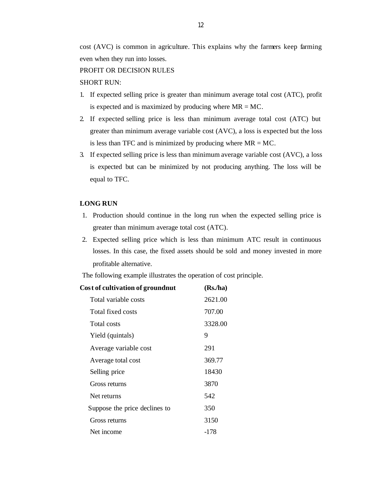#### PROFIT OR DECISION RULES

# SHORT RUN:

- 1. If expected selling price is greater than minimum average total cost (ATC), profit is expected and is maximized by producing where  $MR = MC$ .
- 2. If expected selling price is less than minimum average total cost (ATC) but greater than minimum average variable cost (AVC), a loss is expected but the loss is less than TFC and is minimized by producing where  $MR = MC$ .
- 3. If expected selling price is less than minimum average variable cost (AVC), a loss is expected but can be minimized by not producing anything. The loss will be equal to TFC.

# **LONG RUN**

- 1. Production should continue in the long run when the expected selling price is greater than minimum average total cost (ATC).
- 2. Expected selling price which is less than minimum ATC result in continuous losses. In this case, the fixed assets should be sold and money invested in more profitable alternative.

The following example illustrates the operation of cost principle.

| Cost of cultivation of groundnut | (Rs, ha) |
|----------------------------------|----------|
| Total variable costs             | 2621.00  |
| Total fixed costs                | 707.00   |
| Total costs                      | 3328.00  |
| Yield (quintals)                 | 9        |
| Average variable cost            | 291      |
| Average total cost               | 369.77   |
| Selling price                    | 18430    |
| Gross returns                    | 3870     |
| Net returns                      | 542      |
| Suppose the price declines to    | 350      |
| Gross returns                    | 3150     |
| Net income                       | -178     |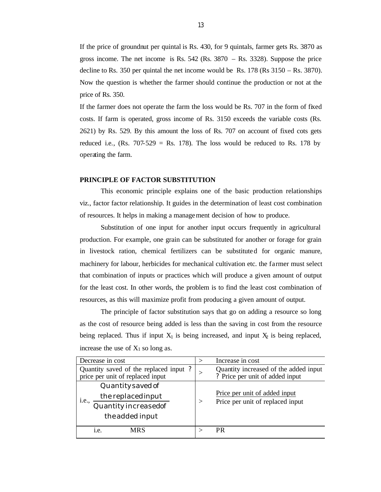If the price of groundnut per quintal is Rs. 430, for 9 quintals, farmer gets Rs. 3870 as gross income. The net income is Rs. 542 (Rs. 3870 – Rs. 3328). Suppose the price decline to Rs. 350 per quintal the net income would be Rs. 178 (Rs 3150 – Rs. 3870). Now the question is whether the farmer should continue the production or not at the price of Rs. 350.

If the farmer does not operate the farm the loss would be Rs. 707 in the form of fixed costs. If farm is operated, gross income of Rs. 3150 exceeds the variable costs (Rs. 2621) by Rs. 529. By this amount the loss of Rs. 707 on account of fixed cots gets reduced i.e., (Rs.  $707-529 =$  Rs. 178). The loss would be reduced to Rs. 178 by operating the farm.

#### **PRINCIPLE OF FACTOR SUBSTITUTION**

This economic principle explains one of the basic production relationships viz., factor factor relationship. It guides in the determination of least cost combination of resources. It helps in making a management decision of how to produce.

Substitution of one input for another input occurs frequently in agricultural production. For example, one grain can be substituted for another or forage for grain in livestock ration, chemical fertilizers can be substituted for organic manure, machinery for labour, herbicides for mechanical cultivation etc. the farmer must select that combination of inputs or practices which will produce a given amount of output for the least cost. In other words, the problem is to find the least cost combination of resources, as this will maximize profit from producing a given amount of output.

The principle of factor substitution says that go on adding a resource so long as the cost of resource being added is less than the saving in cost from the resource being replaced. Thus if input  $X_1$  is being increased, and input  $X_2$  is being replaced, increase the use of  $X_1$  so long as.

| Decrease in cost                                                                            |          | Increase in cost                                                         |
|---------------------------------------------------------------------------------------------|----------|--------------------------------------------------------------------------|
| Quantity saved of the replaced input?<br>price per unit of replaced input                   |          | Quantity increased of the added input<br>? Price per unit of added input |
| Quantity saved of<br>the replaced input<br>1.e.,<br>Quantity increasedof<br>the added input | $\rm{>}$ | Price per unit of added input<br>Price per unit of replaced input        |
| <b>MRS</b><br>1.e.                                                                          |          | PR                                                                       |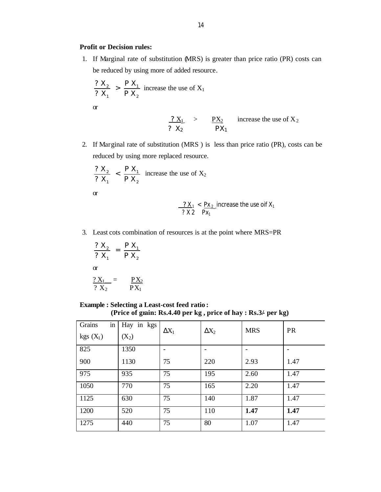# **Profit or Decision rules:**

1. If Marginal rate of substitution (MRS) is greater than price ratio (PR) costs can be reduced by using more of added resource.

$$
\frac{? X_2}{? X_1} > \frac{P X_1}{P X_2}
$$
 increase the use of X<sub>1</sub>  
or  

$$
\frac{? X_1}{? X_2} > \frac{PX_2}{PX_1}
$$
 increase the use of X<sub>2</sub>

2. If Marginal rate of substitution (MRS ) is less than price ratio (PR), costs can be reduced by using more replaced resource.

$$
\frac{? X_2}{? X_1} < \frac{P X_1}{P X_2}
$$
 increase the use of X<sub>2</sub>

or

$$
\frac{?X_1}{?X_2} < \frac{Px_2}{Px_1}
$$
 increase the use of X<sub>1</sub>

3. Least cots combination of resources is at the point where MRS=PR

$$
\frac{? X_2}{? X_1} = \frac{P X_1}{P X_2}
$$
\n
$$
\frac{? X_1}{? X_2} = \frac{PX_2}{PX_1}
$$

# **Example : Selecting a Least-cost feed ratio :**

 **(Price of grain: Rs.4.40 per kg , price of hay : Rs.3/- per kg)**

| in<br>Grains<br>$kgs(X_1)$ | Hay in kgs<br>$(X_2)$ | $\Delta X_1$   | $\Delta X_2$ | <b>MRS</b> | <b>PR</b> |
|----------------------------|-----------------------|----------------|--------------|------------|-----------|
| 825                        | 1350                  | $\overline{ }$ |              |            |           |
| 900                        | 1130                  | 75             | 220          | 2.93       | 1.47      |
| 975                        | 935                   | 75             | 195          | 2.60       | 1.47      |
| 1050                       | 770                   | 75             | 165          | 2.20       | 1.47      |
| 1125                       | 630                   | 75             | 140          | 1.87       | 1.47      |
| 1200                       | 520                   | 75             | 110          | 1.47       | 1.47      |
| 1275                       | 440                   | 75             | 80           | 1.07       | 1.47      |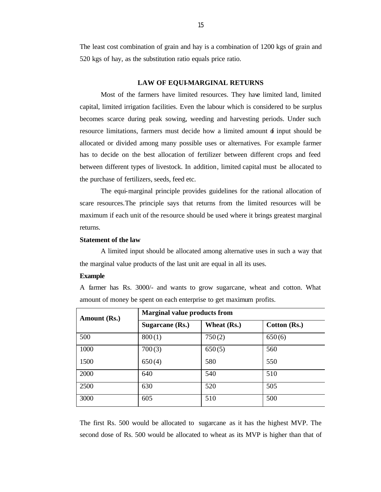The least cost combination of grain and hay is a combination of 1200 kgs of grain and 520 kgs of hay, as the substitution ratio equals price ratio.

#### **LAW OF EQUI-MARGINAL RETURNS**

Most of the farmers have limited resources. They have limited land, limited capital, limited irrigation facilities. Even the labour which is considered to be surplus becomes scarce during peak sowing, weeding and harvesting periods. Under such resource limitations, farmers must decide how a limited amount  $\delta$  input should be allocated or divided among many possible uses or alternatives. For example farmer has to decide on the best allocation of fertilizer between different crops and feed between different types of livestock. In addition, limited capital must be allocated to the purchase of fertilizers, seeds, feed etc.

The equi-marginal principle provides guidelines for the rational allocation of scare resources.The principle says that returns from the limited resources will be maximum if each unit of the resource should be used where it brings greatest marginal returns.

# **Statement of the law**

A limited input should be allocated among alternative uses in such a way that the marginal value products of the last unit are equal in all its uses.

#### **Example**

A farmer has Rs. 3000/- and wants to grow sugarcane, wheat and cotton. What amount of money be spent on each enterprise to get maximum profits.

| Amount (Rs.) | <b>Marginal value products from</b> |             |              |  |  |  |
|--------------|-------------------------------------|-------------|--------------|--|--|--|
|              | Sugarcane $(Rs.)$                   | Wheat (Rs.) | Cotton (Rs.) |  |  |  |
| 500          | 800(1)                              | 750(2)      | 650(6)       |  |  |  |
| 1000         | 700(3)                              | 650(5)      | 560          |  |  |  |
| 1500         | 650(4)                              | 580         | 550          |  |  |  |
| 2000         | 640                                 | 540         | 510          |  |  |  |
| 2500         | 630                                 | 520         | 505          |  |  |  |
| 3000         | 605                                 | 510         | 500          |  |  |  |

The first Rs. 500 would be allocated to sugarcane as it has the highest MVP. The second dose of Rs. 500 would be allocated to wheat as its MVP is higher than that of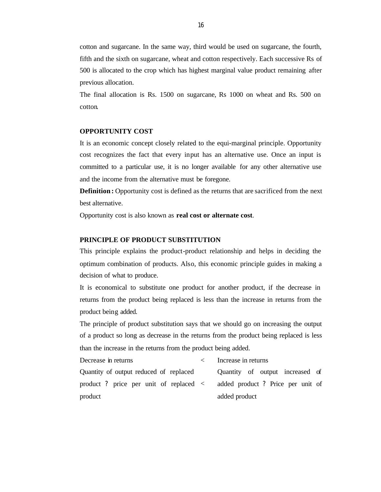cotton and sugarcane. In the same way, third would be used on sugarcane, the fourth, fifth and the sixth on sugarcane, wheat and cotton respectively. Each successive Rs of 500 is allocated to the crop which has highest marginal value product remaining after previous allocation.

The final allocation is Rs. 1500 on sugarcane, Rs 1000 on wheat and Rs. 500 on cotton.

#### **OPPORTUNITY COST**

It is an economic concept closely related to the equi-marginal principle. Opportunity cost recognizes the fact that every input has an alternative use. Once an input is committed to a particular use, it is no longer available for any other alternative use and the income from the alternative must be foregone.

**Definition :** Opportunity cost is defined as the returns that are sacrificed from the next best alternative.

Opportunity cost is also known as **real cost or alternate cost**.

# **PRINCIPLE OF PRODUCT SUBSTITUTION**

This principle explains the product-product relationship and helps in deciding the optimum combination of products. Also, this economic principle guides in making a decision of what to produce.

It is economical to substitute one product for another product, if the decrease in returns from the product being replaced is less than the increase in returns from the product being added.

The principle of product substitution says that we should go on increasing the output of a product so long as decrease in the returns from the product being replaced is less than the increase in the returns from the product being added.

Decrease in returns and the set of  $\sim$  Increase in returns Quantity of output reduced of replaced product ? price per unit of replaced < product Quantity of output increased of added product ? Price per unit of added product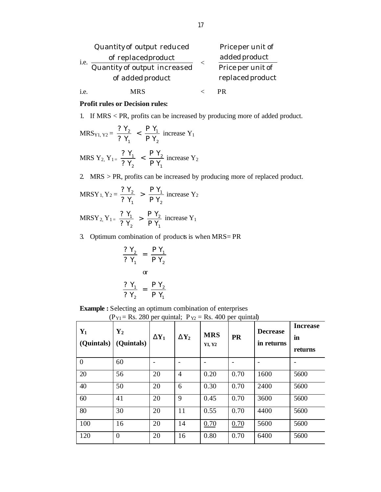|      | Quantity of output reduced   |  | Price per unit of |
|------|------------------------------|--|-------------------|
| i.e. | of replaced product          |  | added product     |
|      | Quantity of output increased |  | Price per unit of |
|      | of added product             |  | replaced product  |
| 1.e. | <b>MRS</b>                   |  |                   |

## **Profit rules or Decision rules:**

1. If MRS < PR, profits can be increased by producing more of added product.

$$
MRS_{Y1, Y2} = \frac{? Y_2}{? Y_1} < \frac{P Y_1}{P Y_2} \text{ increase } Y_1
$$

$$
MRS \ Y_{2, Y_{1=}} \ \frac{? Y_{1}}{? Y_{2}} \ < \ \frac{P Y_{2}}{P Y_{1}} \ \ \text{increase } Y_{2}
$$

2. MRS > PR, profits can be increased by producing more of replaced product.

$$
MRSY_1, Y_2 = \frac{? Y_2}{? Y_1} > \frac{P Y_1}{P Y_2}
$$
 increase Y<sub>2</sub>

 $MRSY_2, Y_1 =$ 1 2 2 1 P Y P Y ? Y  $\frac{?Y_1}{?Y_2}$  >  $\frac{PY_2}{PY_1}$  increase Y<sub>1</sub>

3. Optimum combination of products is when MRS= PR

$$
\frac{? Y_2}{? Y_1} = \frac{P Y_1}{P Y_2}
$$
  
or  

$$
\frac{? Y_1}{? Y_2} = \frac{P Y_2}{P Y_1}
$$

**Example :** Selecting an optimum combination of enterprises

|  | $(P_{Y1} = Rs. 280$ per quintal; $P_{Y2} = Rs. 400$ per quintal) |
|--|------------------------------------------------------------------|
|--|------------------------------------------------------------------|

| $Y_1$<br>(Quintals) | $\mathbf{Y}_2$<br>(Quintals) | $DY_1$ | $DY_2$         | <b>MRS</b><br>Y1, Y2 | <b>PR</b>                | <b>Decrease</b><br>in returns | <b>Increase</b><br>in<br>returns |
|---------------------|------------------------------|--------|----------------|----------------------|--------------------------|-------------------------------|----------------------------------|
| $\boldsymbol{0}$    | 60                           |        |                |                      | $\overline{\phantom{0}}$ |                               |                                  |
| 20                  | 56                           | 20     | $\overline{4}$ | 0.20                 | 0.70                     | 1600                          | 5600                             |
| 40                  | 50                           | 20     | 6              | 0.30                 | 0.70                     | 2400                          | 5600                             |
| 60                  | 41                           | 20     | 9              | 0.45                 | 0.70                     | 3600                          | 5600                             |
| 80                  | 30                           | 20     | 11             | 0.55                 | 0.70                     | 4400                          | 5600                             |
| 100                 | 16                           | 20     | 14             | 0.70                 | 0.70                     | 5600                          | 5600                             |
| 120                 | $\Omega$                     | 20     | 16             | 0.80                 | 0.70                     | 6400                          | 5600                             |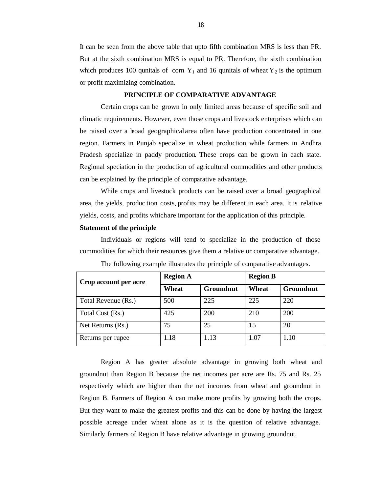It can be seen from the above table that upto fifth combination MRS is less than PR. But at the sixth combination MRS is equal to PR. Therefore, the sixth combination which produces 100 qunitals of corn  $Y_1$  and 16 qunitals of wheat  $Y_2$  is the optimum or profit maximizing combination.

#### **PRINCIPLE OF COMPARATIVE ADVANTAGE**

Certain crops can be grown in only limited areas because of specific soil and climatic requirements. However, even those crops and livestock enterprises which can be raised over a broad geographical area often have production concentrated in one region. Farmers in Punjab specialize in wheat production while farmers in Andhra Pradesh specialize in paddy production. These crops can be grown in each state. Regional speciation in the production of agricultural commodities and other products can be explained by the principle of comparative advantage.

While crops and livestock products can be raised over a broad geographical area, the yields, produc tion costs, profits may be different in each area. It is relative yields, costs, and profits which are important for the application of this principle.

# **Statement of the principle**

Individuals or regions will tend to specialize in the production of those commodities for which their resources give them a relative or comparative advantage.

| Crop account per acre | <b>Region A</b> |           | <b>Region B</b> |           |  |
|-----------------------|-----------------|-----------|-----------------|-----------|--|
|                       | Wheat           | Groundnut | Wheat           | Groundnut |  |
| Total Revenue (Rs.)   | 500             | 225       | 225             | 220       |  |
| Total Cost (Rs.)      | 425             | 200       | 210             | 200       |  |
| Net Returns (Rs.)     | 75              | 25        | 15              | 20        |  |
| Returns per rupee     | 1.18            | 1.13      | 1.07            | 1.10      |  |

The following example illustrates the principle of comparative advantages.

Region A has greater absolute advantage in growing both wheat and groundnut than Region B because the net incomes per acre are Rs. 75 and Rs. 25 respectively which are higher than the net incomes from wheat and groundnut in Region B. Farmers of Region A can make more profits by growing both the crops. But they want to make the greatest profits and this can be done by having the largest possible acreage under wheat alone as it is the question of relative advantage. Similarly farmers of Region B have relative advantage in growing groundnut.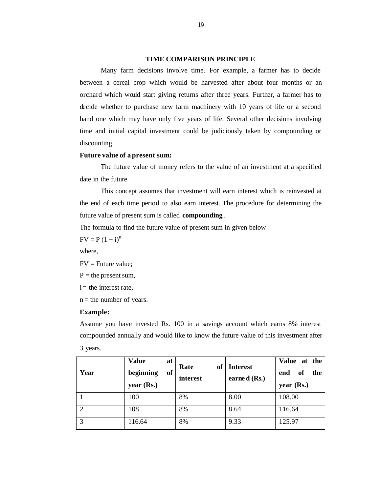#### **TIME COMPARISON PRINCIPLE**

Many farm decisions involve time. For example, a farmer has to decide between a cereal crop which would be harvested after about four months or an orchard which would start giving returns after three years. Further, a farmer has to decide whether to purchase new farm machinery with 10 years of life or a second hand one which may have only five years of life. Several other decisions involving time and initial capital investment could be judiciously taken by compounding or discounting.

### **Future value of a present sum:**

The future value of money refers to the value of an investment at a specified date in the future.

This concept assumes that investment will earn interest which is reinvested at the end of each time period to also earn interest. The procedure for determining the future value of present sum is called **compounding** .

The formula to find the future value of present sum in given below

 $FV = P (1 + i)^n$ 

where,

 $FV =$  Future value:

 $P =$  the present sum,

 $i =$  the interest rate,

 $n =$  the number of years.

#### **Example:**

Assume you have invested Rs. 100 in a savings account which earns 8% interest compounded annually and would like to know the future value of this investment after 3 years.

| Year | <b>Value</b><br>at<br><sub>of</sub><br>beginning<br>year(Rs.) | Rate<br>of<br>interest | <b>Interest</b><br>earned (Rs.) | Value at the<br>of<br>the<br>end<br>year (Rs.) |
|------|---------------------------------------------------------------|------------------------|---------------------------------|------------------------------------------------|
|      | 100                                                           | 8%                     | 8.00                            | 108.00                                         |
| ◠    | 108                                                           | 8%                     | 8.64                            | 116.64                                         |
| 3    | 116.64                                                        | 8%                     | 9.33                            | 125.97                                         |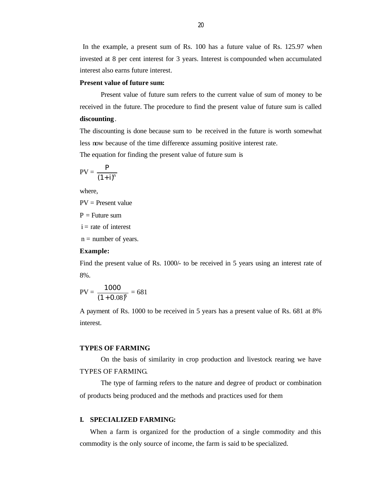In the example, a present sum of Rs. 100 has a future value of Rs. 125.97 when invested at 8 per cent interest for 3 years. Interest is compounded when accumulated interest also earns future interest.

#### **Present value of future sum:**

Present value of future sum refers to the current value of sum of money to be received in the future. The procedure to find the present value of future sum is called **discounting** .

The discounting is done because sum to be received in the future is worth somewhat less now because of the time difference assuming positive interest rate. The equation for finding the present value of future sum is

$$
PV = \frac{P}{(1+i)^n}
$$

where,

PV = Present value

 $P =$  Future sum

 $i =$ rate of interest

 $n =$  number of years.

### **Example:**

Find the present value of Rs. 1000/- to be received in 5 years using an interest rate of 8%.

$$
PV = \frac{1000}{(1+0.08)^5} = 681
$$

A payment of Rs. 1000 to be received in 5 years has a present value of Rs. 681 at 8% interest.

# **TYPES OF FARMING**

On the basis of similarity in crop production and livestock rearing we have TYPES OF FARMING.

The type of farming refers to the nature and degree of product or combination of products being produced and the methods and practices used for them

# **I. SPECIALIZED FARMING:**

When a farm is organized for the production of a single commodity and this commodity is the only source of income, the farm is said to be specialized.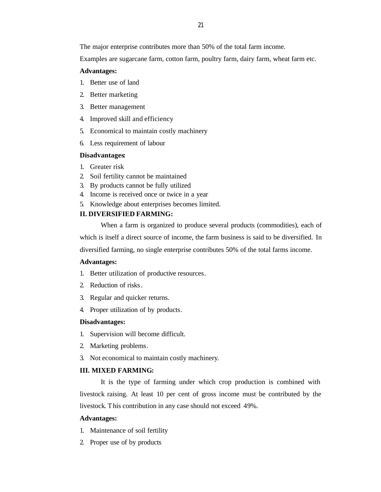The major enterprise contributes more than 50% of the total farm income.

Examples are sugarcane farm, cotton farm, poultry farm, dairy farm, wheat farm etc.

# **Advantages:**

- 1. Better use of land
- 2. Better marketing
- 3. Better management
- 4. Improved skill and efficiency
- 5. Economical to maintain costly machinery
- 6. Less requirement of labour

# **Disadvantages:**

- 1. Greater risk
- 2. Soil fertility cannot be maintained
- 3. By products cannot be fully utilized
- 4. Income is received once or twice in a year
- 5. Knowledge about enterprises becomes limited.

# **II. DIVERSIFIED FARMING:**

When a farm is organized to produce several products (commodities), each of which is itself a direct source of income, the farm business is said to be diversified. In diversified farming, no single enterprise contributes 50% of the total farms income.

# **Advantages:**

- 1. Better utilization of productive resources.
- 2. Reduction of risks.
- 3. Regular and quicker returns.
- 4. Proper utilization of by products.

# **Disadvantages:**

- 1. Supervision will become difficult.
- 2. Marketing problems.
- 3. Not economical to maintain costly machinery.

# **III. MIXED FARMING:**

It is the type of farming under which crop production is combined with livestock raising. At least 10 per cent of gross income must be contributed by the livestock. This contribution in any case should not exceed 49%.

# **Advantages:**

- 1. Maintenance of soil fertility
- 2. Proper use of by products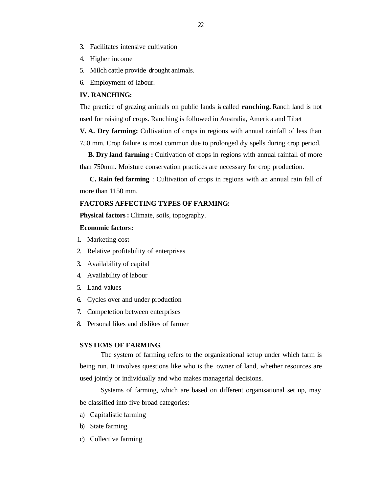- 3. Facilitates intensive cultivation
- 4. Higher income
- 5. Milch cattle provide drought animals.
- 6. Employment of labour.

#### **IV. RANCHING:**

The practice of grazing animals on public lands is called **ranching.** Ranch land is not used for raising of crops. Ranching is followed in Australia, America and Tibet

**V. A. Dry farming:** Cultivation of crops in regions with annual rainfall of less than 750 mm. Crop failure is most common due to prolonged dry spells during crop period.

**B. Dry land farming :** Cultivation of crops in regions with annual rainfall of more than 750mm. Moisture conservation practices are necessary for crop production.

 **C. Rain fed farming** : Cultivation of crops in regions with an annual rain fall of more than 1150 mm.

# **FACTORS AFFECTING TYPES OF FARMING:**

**Physical factors:** Climate, soils, topography.

#### **Economic factors:**

- 1. Marketing cost
- 2. Relative profitability of enterprises
- 3. Availability of capital
- 4. Availability of labour
- 5. Land values
- 6. Cycles over and under production
- 7. Compe tetion between enterprises
- 8. Personal likes and dislikes of farmer

## **SYSTEMS OF FARMING**.

The system of farming refers to the organizational set up under which farm is being run. It involves questions like who is the owner of land, whether resources are used jointly or individually and who makes managerial decisions.

Systems of farming, which are based on different organisational set up, may be classified into five broad categories:

- a) Capitalistic farming
- b) State farming
- c) Collective farming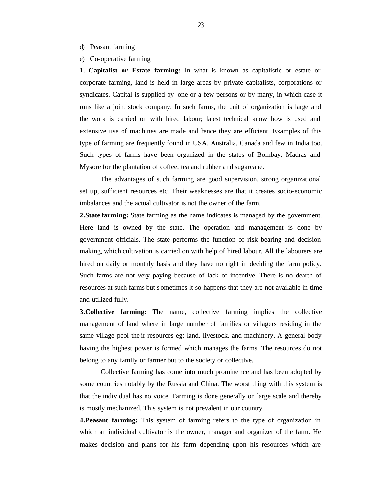- d) Peasant farming
- e) Co-operative farming

**1. Capitalist or Estate farming:** In what is known as capitalistic or estate or corporate farming, land is held in large areas by private capitalists, corporations or syndicates. Capital is supplied by one or a few persons or by many, in which case it runs like a joint stock company. In such farms, the unit of organization is large and the work is carried on with hired labour; latest technical know how is used and extensive use of machines are made and hence they are efficient. Examples of this type of farming are frequently found in USA, Australia, Canada and few in India too. Such types of farms have been organized in the states of Bombay, Madras and Mysore for the plantation of coffee, tea and rubber and sugarcane.

The advantages of such farming are good supervision, strong organizational set up, sufficient resources etc. Their weaknesses are that it creates socio-economic imbalances and the actual cultivator is not the owner of the farm.

**2.State farming:** State farming as the name indicates is managed by the government. Here land is owned by the state. The operation and management is done by government officials. The state performs the function of risk bearing and decision making, which cultivation is carried on with help of hired labour. All the labourers are hired on daily or monthly basis and they have no right in deciding the farm policy. Such farms are not very paying because of lack of incentive. There is no dearth of resources at such farms but s ometimes it so happens that they are not available in time and utilized fully.

**3.Collective farming:** The name, collective farming implies the collective management of land where in large number of families or villagers residing in the same village pool the ir resources eg: land, livestock, and machinery. A general body having the highest power is formed which manages the farms. The resources do not belong to any family or farmer but to the society or collective.

Collective farming has come into much prominence and has been adopted by some countries notably by the Russia and China. The worst thing with this system is that the individual has no voice. Farming is done generally on large scale and thereby is mostly mechanized. This system is not prevalent in our country.

**4.Peasant farming:** This system of farming refers to the type of organization in which an individual cultivator is the owner, manager and organizer of the farm. He makes decision and plans for his farm depending upon his resources which are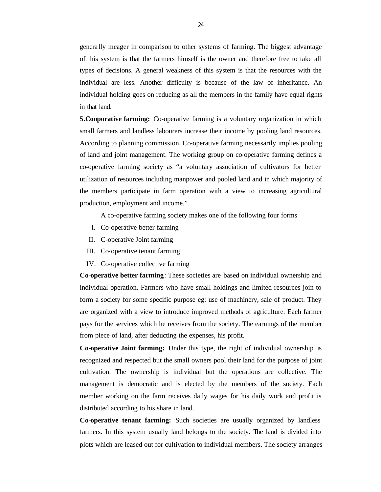genera lly meager in comparison to other systems of farming. The biggest advantage of this system is that the farmers himself is the owner and therefore free to take all types of decisions. A general weakness of this system is that the resources with the individual are less. Another difficulty is because of the law of inheritance. An individual holding goes on reducing as all the members in the family have equal rights in that land.

**5.Cooporative farming:** Co-operative farming is a voluntary organization in which small farmers and landless labourers increase their income by pooling land resources. According to planning commission, Co-operative farming necessarily implies pooling of land and joint management. The working group on co-operative farming defines a co-operative farming society as "a voluntary association of cultivators for better utilization of resources including manpower and pooled land and in which majority of the members participate in farm operation with a view to increasing agricultural production, employment and income."

A co-operative farming society makes one of the following four forms

- I. Co-operative better farming
- II. C-operative Joint farming
- III. Co-operative tenant farming
- IV. Co-operative collective farming

**Co-operative better farming**: These societies are based on individual ownership and individual operation. Farmers who have small holdings and limited resources join to form a society for some specific purpose eg: use of machinery, sale of product. They are organized with a view to introduce improved methods of agriculture. Each farmer pays for the services which he receives from the society. The earnings of the member from piece of land, after deducting the expenses, his profit.

**Co-operative Joint farming:** Under this type, the right of individual ownership is recognized and respected but the small owners pool their land for the purpose of joint cultivation. The ownership is individual but the operations are collective. The management is democratic and is elected by the members of the society. Each member working on the farm receives daily wages for his daily work and profit is distributed according to his share in land.

**Co-operative tenant farming:** Such societies are usually organized by landless farmers. In this system usually land belongs to the society. The land is divided into plots which are leased out for cultivation to individual members. The society arranges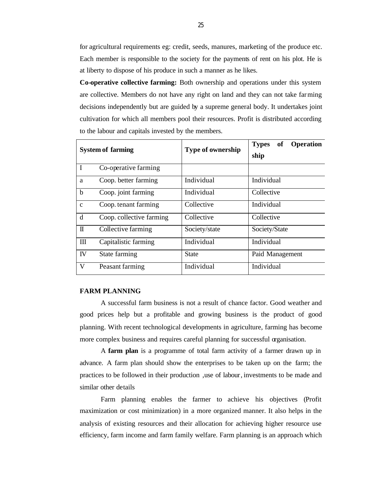for agricultural requirements eg: credit, seeds, manures, marketing of the produce etc. Each member is responsible to the society for the payments of rent on his plot. He is at liberty to dispose of his produce in such a manner as he likes.

**Co-operative collective farming:** Both ownership and operations under this system are collective. Members do not have any right on land and they can not take farming decisions independently but are guided by a supreme general body. It undertakes joint cultivation for which all members pool their resources. Profit is distributed according to the labour and capitals invested by the members.

| <b>System of farming</b> |                          | <b>Type of ownership</b> | <b>Operation</b><br><b>Types</b><br>of<br>ship |
|--------------------------|--------------------------|--------------------------|------------------------------------------------|
| $\mathbf I$              | Co-operative farming     |                          |                                                |
| a                        | Coop. better farming     | Individual               | Individual                                     |
| $\mathbf b$              | Coop. joint farming      | Individual               | Collective                                     |
| $\mathbf{C}$             | Coop. tenant farming     | Collective               | Individual                                     |
| d                        | Coop. collective farming | Collective               | Collective                                     |
| $\mathbb{I}$             | Collective farming       | Society/state            | Society/State                                  |
| Ш                        | Capitalistic farming     | Individual               | Individual                                     |
| IV                       | State farming            | State                    | Paid Management                                |
| V                        | Peasant farming          | Individual               | Individual                                     |

# **FARM PLANNING**

A successful farm business is not a result of chance factor. Good weather and good prices help but a profitable and growing business is the product of good planning. With recent technological developments in agriculture, farming has become more complex business and requires careful planning for successful organisation.

A **farm plan** is a programme of total farm activity of a farmer drawn up in advance. A farm plan should show the enterprises to be taken up on the farm; the practices to be followed in their production ,use of labour, investments to be made and similar other details

Farm planning enables the farmer to achieve his objectives (Profit maximization or cost minimization) in a more organized manner. It also helps in the analysis of existing resources and their allocation for achieving higher resource use efficiency, farm income and farm family welfare. Farm planning is an approach which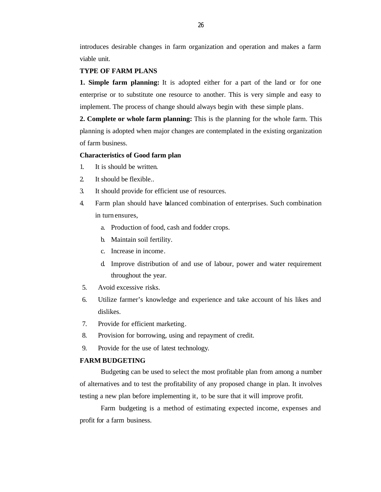introduces desirable changes in farm organization and operation and makes a farm viable unit.

#### **TYPE OF FARM PLANS**

**1. Simple farm planning:** It is adopted either for a part of the land or for one enterprise or to substitute one resource to another. This is very simple and easy to implement. The process of change should always begin with these simple plans.

**2. Complete or whole farm planning:** This is the planning for the whole farm. This planning is adopted when major changes are contemplated in the existing organization of farm business.

#### **Characteristics of Good farm plan**

- 1. It is should be written.
- 2. It should be flexible..
- 3. It should provide for efficient use of resources.
- 4. Farm plan should have balanced combination of enterprises. Such combination in turn ensures,
	- a. Production of food, cash and fodder crops.
	- b. Maintain soil fertility.
	- c. Increase in income.
	- d. Improve distribution of and use of labour, power and water requirement throughout the year.
- 5. Avoid excessive risks.
- 6. Utilize farmer's knowledge and experience and take account of his likes and dislikes.
- 7. Provide for efficient marketing.
- 8. Provision for borrowing, using and repayment of credit.
- 9. Provide for the use of latest technology.

## **FARM BUDGETING**

Budgeting can be used to select the most profitable plan from among a number of alternatives and to test the profitability of any proposed change in plan. It involves testing a new plan before implementing it, to be sure that it will improve profit.

Farm budgeting is a method of estimating expected income, expenses and profit for a farm business.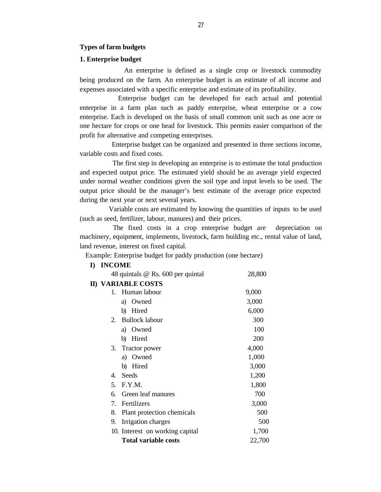#### **Types of farm budgets**

# **1. Enterprise budget**

 An enterprise is defined as a single crop or livestock commodity being produced on the farm. An enterprise budget is an estimate of all income and expenses associated with a specific enterprise and estimate of its profitability.

 Enterprise budget can be developed for each actual and potential enterprise in a farm plan such as paddy enterprise, wheat enterprise or a cow enterprise. Each is developed on the basis of small common unit such as one acre or one hectare for crops or one head for livestock. This permits easier comparison of the profit for alternative and competing enterprises.

 Enterprise budget can be organized and presented in three sections income, variable costs and fixed costs.

 The first step in developing an enterprise is to estimate the total production and expected output price. The estimated yield should be an average yield expected under normal weather conditions given the soil type and input levels to be used. The output price should be the manager's best estimate of the average price expected during the next year or next several years.

 Variable costs are estimated by knowing the quantities of inputs to be used (such as seed, fertilizer, labour, manures) and their prices.

 The fixed costs in a crop enterprise budget are depreciation on machinery, equipment, implements, livestock, farm building etc., rental value of land, land revenue, interest on fixed capital.

Example: Enterprise budget for paddy production (one hectare)

#### **I) INCOME**

|    | 48 quintals @ Rs. 600 per quintal | 28,800 |
|----|-----------------------------------|--------|
|    | <b>II) VARIABLE COSTS</b>         |        |
| 1. | Human labour                      | 9,000  |
|    | Owned<br>a)                       | 3,000  |
|    | Hired<br>b)                       | 6,000  |
| 2. | <b>Bullock labour</b>             | 300    |
|    | Owned<br>a)                       | 100    |
|    | Hired<br>b)                       | 200    |
| 3. | Tractor power                     | 4,000  |
|    | Owned<br>a)                       | 1,000  |
|    | Hired<br>b)                       | 3,000  |
| 4. | Seeds                             | 1,200  |
| 5. | F.Y.M.                            | 1,800  |
| 6. | Green leaf manures                | 700    |
| 7. | Fertilizers                       | 3,000  |
| 8. | Plant protection chemicals        | 500    |
| 9. | Irrigation charges                | 500    |
|    | 10. Interest on working capital   | 1,700  |
|    | <b>Total variable costs</b>       | 22,700 |
|    |                                   |        |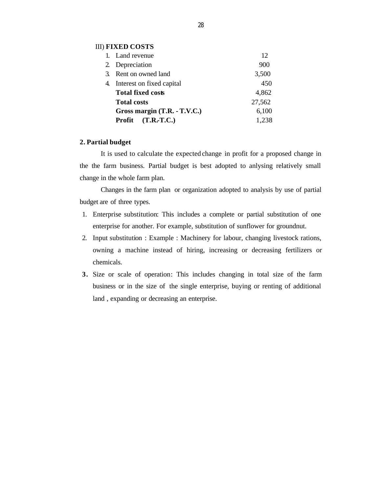# III) **FIXED COSTS**

|    | 1. Land revenue              | 12     |
|----|------------------------------|--------|
|    | 2. Depreciation              | 900    |
|    | 3. Rent on owned land        | 3,500  |
| 4. | Interest on fixed capital    | 450    |
|    | <b>Total fixed costs</b>     | 4,862  |
|    | <b>Total costs</b>           | 27,562 |
|    | Gross margin (T.R. - T.V.C.) | 6,100  |
|    | Profit (T.R.-T.C.)           | 1,238  |

# **2. Partial budget**

It is used to calculate the expected change in profit for a proposed change in the the farm business. Partial budget is best adopted to anlysing relatively small change in the whole farm plan.

Changes in the farm plan or organization adopted to analysis by use of partial budget are of three types.

- 1. Enterprise substitution: This includes a complete or partial substitution of one enterprise for another. For example, substitution of sunflower for groundnut.
- 2. Input substitution : Example : Machinery for labour, changing livestock rations, owning a machine instead of hiring, increasing or decreasing fertilizers or chemicals.
- **3.** Size or scale of operation: This includes changing in total size of the farm business or in the size of the single enterprise, buying or renting of additional land , expanding or decreasing an enterprise.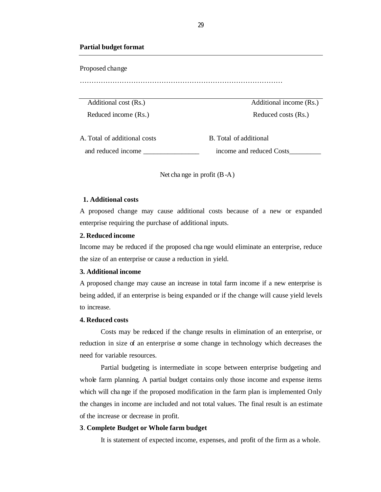#### **Partial budget format**

Proposed change

……………………………………………………………………………

Reduced income (Rs.) Reduced costs (Rs.)

Additional cost (Rs.) Additional income (Rs.)

A. Total of additional costs B. Total of additional and reduced income example income and reduced Costs

Net cha nge in profit (B-A)

# **1. Additional costs**

A proposed change may cause additional costs because of a new or expanded enterprise requiring the purchase of additional inputs.

# **2. Reduced income**

Income may be reduced if the proposed cha nge would eliminate an enterprise, reduce the size of an enterprise or cause a reduction in yield.

# **3. Additional income**

A proposed change may cause an increase in total farm income if a new enterprise is being added, if an enterprise is being expanded or if the change will cause yield levels to increase.

# **4. Reduced costs**

Costs may be reduced if the change results in elimination of an enterprise, or reduction in size of an enterprise  $\sigma$  some change in technology which decreases the need for variable resources.

Partial budgeting is intermediate in scope between enterprise budgeting and whole farm planning. A partial budget contains only those income and expense items which will cha nge if the proposed modification in the farm plan is implemented Only the changes in income are included and not total values. The final result is an estimate of the increase or decrease in profit.

#### **3**. **Complete Budget or Whole farm budget**

It is statement of expected income, expenses, and profit of the firm as a whole.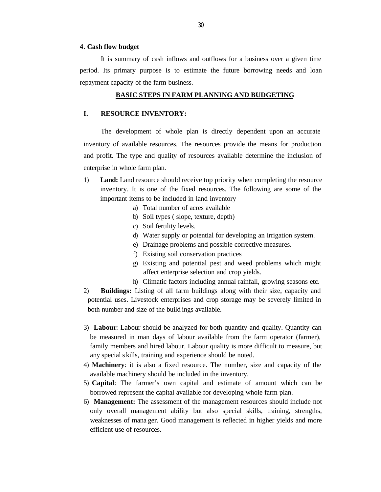#### **4**. **Cash flow budget**

It is summary of cash inflows and outflows for a business over a given time period. Its primary purpose is to estimate the future borrowing needs and loan repayment capacity of the farm business.

#### **BASIC STEPS IN FARM PLANNING AND BUDGETING**

# **I. RESOURCE INVENTORY:**

The development of whole plan is directly dependent upon an accurate inventory of available resources. The resources provide the means for production and profit. The type and quality of resources available determine the inclusion of enterprise in whole farm plan.

- 1) **Land:** Land resource should receive top priority when completing the resource inventory. It is one of the fixed resources. The following are some of the important items to be included in land inventory
	- a) Total number of acres available
	- b) Soil types ( slope, texture, depth)
	- c) Soil fertility levels.
	- d) Water supply or potential for developing an irrigation system.
	- e) Drainage problems and possible corrective measures.
	- f) Existing soil conservation practices
	- g) Existing and potential pest and weed problems which might affect enterprise selection and crop yields.
	- h) Climatic factors including annual rainfall, growing seasons etc.
- 2) **Buildings:** Listing of all farm buildings along with their size, capacity and potential uses. Livestock enterprises and crop storage may be severely limited in both number and size of the build ings available.
- 3) **Labour**: Labour should be analyzed for both quantity and quality. Quantity can be measured in man days of labour available from the farm operator (farmer), family members and hired labour. Labour quality is more difficult to measure, but any special s kills, training and experience should be noted.
- 4) **Machinery**: it is also a fixed resource. The number, size and capacity of the available machinery should be included in the inventory.
- 5) **Capital**: The farmer's own capital and estimate of amount which can be borrowed represent the capital available for developing whole farm plan.
- 6) **Management:** The assessment of the management resources should include not only overall management ability but also special skills, training, strengths, weaknesses of mana ger. Good management is reflected in higher yields and more efficient use of resources.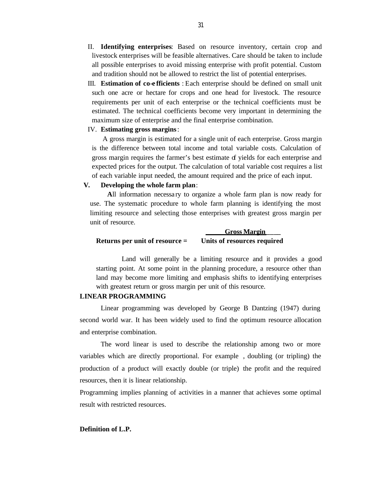- II. **Identifying enterprises**: Based on resource inventory, certain crop and livestock enterprises will be feasible alternatives. Care should be taken to include all possible enterprises to avoid missing enterprise with profit potential. Custom and tradition should not be allowed to restrict the list of potential enterprises.
- III. **Estimation of co-e fficients** : Each enterprise should be defined on small unit such one acre or hectare for crops and one head for livestock. The resource requirements per unit of each enterprise or the technical coefficients must be estimated. The technical coefficients become very important in determining the maximum size of enterprise and the final enterprise combination.

# IV. **Estimating gross margins**:

 A gross margin is estimated for a single unit of each enterprise. Gross margin is the difference between total income and total variable costs. Calculation of gross margin requires the farmer's best estimate of yields for each enterprise and expected prices for the output. The calculation of total variable cost requires a list of each variable input needed, the amount required and the price of each input.

#### **V. Developing the whole farm plan**:

**A**ll information necessa ry to organize a whole farm plan is now ready for use. The systematic procedure to whole farm planning is identifying the most limiting resource and selecting those enterprises with greatest gross margin per unit of resource.

|                                  | <b>Gross Margin</b>         |
|----------------------------------|-----------------------------|
| Returns per unit of resource $=$ | Units of resources required |

Land will generally be a limiting resource and it provides a good starting point. At some point in the planning procedure, a resource other than land may become more limiting and emphasis shifts to identifying enterprises with greatest return or gross margin per unit of this resource.

#### **LINEAR PROGRAMMING**

Linear programming was developed by George B Dantzing (1947) during second world war. It has been widely used to find the optimum resource allocation and enterprise combination.

The word linear is used to describe the relationship among two or more variables which are directly proportional. For example , doubling (or tripling) the production of a product will exactly double (or triple) the profit and the required resources, then it is linear relationship.

Programming implies planning of activities in a manner that achieves some optimal result with restricted resources.

#### **Definition of L.P.**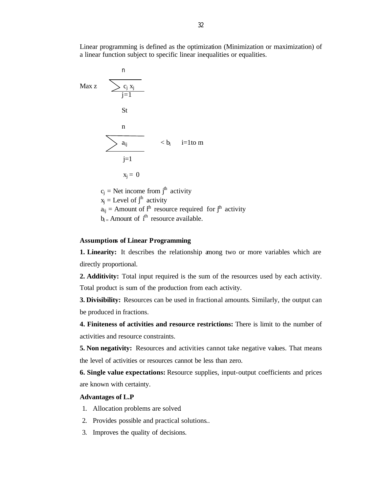Linear programming is defined as the optimization (Minimization or maximization) of a linear function subject to specific linear inequalities or equalities.



# **Assumptions of Linear Programming**

**1. Linearity:** It describes the relationship among two or more variables which are directly proportional.

**2. Additivity:** Total input required is the sum of the resources used by each activity. Total product is sum of the production from each activity.

**3. Divisibility:** Resources can be used in fractional amounts. Similarly, the output can be produced in fractions.

**4. Finiteness of activities and resource restrictions:** There is limit to the number of activities and resource constraints.

**5. Non negativity:** Resources and activities cannot take negative values. That means the level of activities or resources cannot be less than zero.

**6. Single value expectations:** Resource supplies, input-output coefficients and prices are known with certainty.

#### **Advantages of L.P**

- 1. Allocation problems are solved.
- 2. Provides possible and practical solutions..
- 3. Improves the quality of decisions.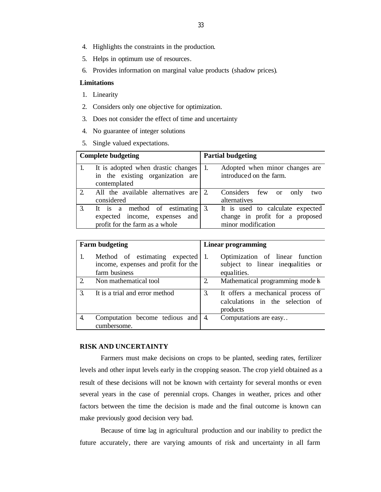- 4. Highlights the constraints in the production.
- 5. Helps in optimum use of resources.
- 6. Provides information on marginal value products (shadow prices).

# **Limitations**

- 1. Linearity
- 2. Considers only one objective for optimization.
- 3. Does not consider the effect of time and uncertainty
- 4. No guarantee of integer solutions
- 5. Single valued expectations.

|               | <b>Complete budgeting</b>                                                                                           | <b>Partial budgeting</b>                                                                  |
|---------------|---------------------------------------------------------------------------------------------------------------------|-------------------------------------------------------------------------------------------|
|               | It is adopted when drastic changes<br>in the existing organization are<br>contemplated                              | Adopted when minor changes are<br>introduced on the farm.                                 |
| $\mathcal{D}$ | All the available alternatives are 2.<br>considered                                                                 | Considers few<br>only<br>two<br><sub>or</sub><br>alternatives                             |
|               | It is a method of estimating $\left  \right $ 3.<br>expected income, expenses and<br>profit for the farm as a whole | It is used to calculate expected<br>change in profit for a proposed<br>minor modification |

| <b>Farm budgeting</b> |                                                                                       | Linear programming                                                                      |  |
|-----------------------|---------------------------------------------------------------------------------------|-----------------------------------------------------------------------------------------|--|
| 1.                    | Method of estimating expected<br>income, expenses and profit for the<br>farm business | Optimization of linear function<br>subject to linear inequalities or<br>equalities.     |  |
| $\mathcal{D}$         | Non mathematical tool                                                                 | Mathematical programming mode <b>k</b><br>2                                             |  |
| 3                     | It is a trial and error method                                                        | 3.<br>It offers a mechanical process of<br>calculations in the selection of<br>products |  |
| 4.                    | Computation become tedious and<br>cumbersome.                                         | Computations are easy<br>4.                                                             |  |

# **RISK AND UNCERTAINTY**

Farmers must make decisions on crops to be planted, seeding rates, fertilizer levels and other input levels early in the cropping season. The crop yield obtained as a result of these decisions will not be known with certainty for several months or even several years in the case of perennial crops. Changes in weather, prices and other factors between the time the decision is made and the final outcome is known can make previously good decision very bad.

Because of time lag in agricultural production and our inability to predict the future accurately, there are varying amounts of risk and uncertainty in all farm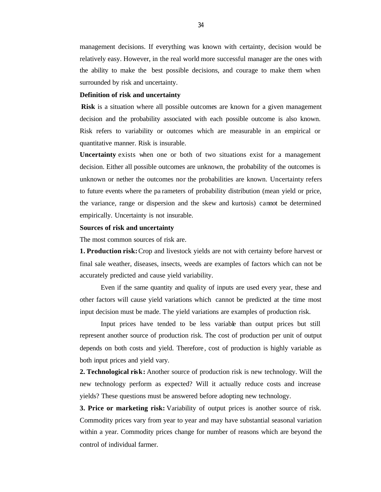management decisions. If everything was known with certainty, decision would be relatively easy. However, in the real world more successful manager are the ones with the ability to make the best possible decisions, and courage to make them when surrounded by risk and uncertainty.

#### **Definition of risk and uncertainty**

**Risk** is a situation where all possible outcomes are known for a given management decision and the probability associated with each possible outcome is also known. Risk refers to variability or outcomes which are measurable in an empirical or quantitative manner. Risk is insurable.

**Uncertainty** exists when one or both of two situations exist for a management decision. Either all possible outcomes are unknown, the probability of the outcomes is unknown or nether the outcomes nor the probabilities are known. Uncertainty refers to future events where the pa rameters of probability distribution (mean yield or price, the variance, range or dispersion and the skew and kurtosis) cannot be determined empirically. Uncertainty is not insurable.

#### **Sources of risk and uncertainty**

The most common sources of risk are.

**1. Production risk:** Crop and livestock yields are not with certainty before harvest or final sale weather, diseases, insects, weeds are examples of factors which can not be accurately predicted and cause yield variability.

Even if the same quantity and quality of inputs are used every year, these and other factors will cause yield variations which cannot be predicted at the time most input decision must be made. The yield variations are examples of production risk.

Input prices have tended to be less variable than output prices but still represent another source of production risk. The cost of production per unit of output depends on both costs and yield. Therefore , cost of production is highly variable as both input prices and yield vary.

**2. Technological risk:** Another source of production risk is new technology. Will the new technology perform as expected? Will it actually reduce costs and increase yields? These questions must be answered before adopting new technology.

**3. Price or marketing risk:** Variability of output prices is another source of risk. Commodity prices vary from year to year and may have substantial seasonal variation within a year. Commodity prices change for number of reasons which are beyond the control of individual farmer.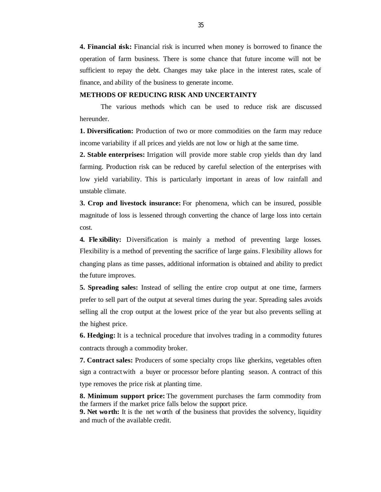**4. Financial risk:** Financial risk is incurred when money is borrowed to finance the operation of farm business. There is some chance that future income will not be sufficient to repay the debt. Changes may take place in the interest rates, scale of finance, and ability of the business to generate income.

#### **METHODS OF REDUCING RISK AND UNCERTAINTY**

The various methods which can be used to reduce risk are discussed hereunder.

**1. Diversification:** Production of two or more commodities on the farm may reduce income variability if all prices and yields are not low or high at the same time.

**2. Stable enterprises:** Irrigation will provide more stable crop yields than dry land farming. Production risk can be reduced by careful selection of the enterprises with low yield variability. This is particularly important in areas of low rainfall and unstable climate.

**3. Crop and livestock insurance:** For phenomena, which can be insured, possible magnitude of loss is lessened through converting the chance of large loss into certain cost.

**4. Fle xibility:** Diversification is mainly a method of preventing large losses. Flexibility is a method of preventing the sacrifice of large gains. Flexibility allows for changing plans as time passes, additional information is obtained and ability to predict the future improves.

**5. Spreading sales:** Instead of selling the entire crop output at one time, farmers prefer to sell part of the output at several times during the year. Spreading sales avoids selling all the crop output at the lowest price of the year but also prevents selling at the highest price.

**6. Hedging:** It is a technical procedure that involves trading in a commodity futures contracts through a commodity broker.

**7. Contract sales:** Producers of some specialty crops like gherkins, vegetables often sign a contract with a buyer or processor before planting season. A contract of this type removes the price risk at planting time.

**8. Minimum support price:** The government purchases the farm commodity from the farmers if the market price falls below the support price.

**9. Net worth:** It is the net worth of the business that provides the solvency, liquidity and much of the available credit.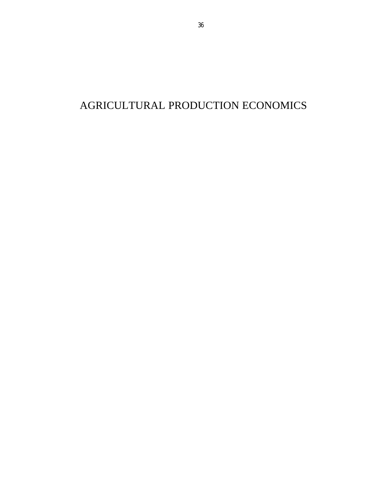# AGRICULTURAL PRODUCTION ECONOMICS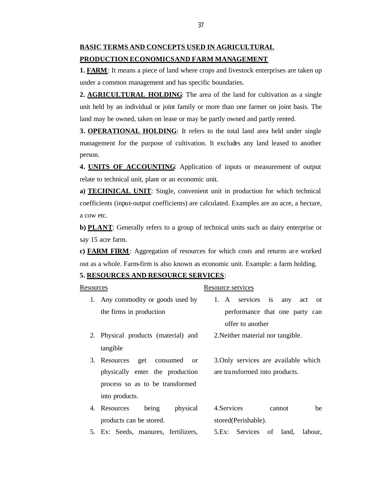# **BASIC TERMS AND CONCEPTS USED IN AGRICULTURAL PRODUCTION ECONOMICS AND FARM MANAGEMENT**

**1. FARM**: It means a piece of land where crops and livestock enterprises are taken up under a common management and has specific boundaries.

**2. AGRICULTURAL HOLDING**: The area of the land for cultivation as a single unit held by an individual or joint family or more than one farmer on joint basis. The land may be owned, taken on lease or may be partly owned and partly rented.

**3. OPERATIONAL HOLDING:** It refers to the total land area held under single management for the purpose of cultivation. It excludes any land leased to another person.

**4. UNITS OF ACCOUNTING**: Application of inputs or measurement of output relate to technical unit, plant or an economic unit.

**a) TECHNICAL UNIT**: Single, convenient unit in production for which technical coefficients (input-output coefficients) are calculated. Examples are an acre, a hectare, a cow etc.

**b) PLANT**: Generally refers to a group of technical units such as dairy enterprise or say 15 acre farm.

**c) FARM FIRM**: Aggregation of resources for which costs and returns are worked out as a whole. Farm-firm is also known as economic unit. Example: a farm holding.

#### **5. RESOURCES AND RESOURCE SERVICES**:

| Resources |                                     | Resource services                               |
|-----------|-------------------------------------|-------------------------------------------------|
|           | 1. Any commodity or goods used by   | 1. A services is<br>any<br>act<br><sub>or</sub> |
|           | the firms in production             | performance that one party can                  |
|           |                                     | offer to another                                |
|           | 2. Physical products (material) and | 2. Neither material nor tangible.               |
|           | tangible                            |                                                 |
|           | 3. Resources get<br>consumed or     | 3. Only services are available which            |
|           | physically enter the production     | are transformed into products.                  |
|           | process so as to be transformed     |                                                 |
|           | into products.                      |                                                 |
|           | physical<br>being<br>4. Resources   | 4. Services<br>be<br>cannot                     |
|           | products can be stored.             | stored(Perishable).                             |
|           |                                     |                                                 |

5. Ex: Seeds, manures, fertilizers, 5.Ex: Services of land, labour,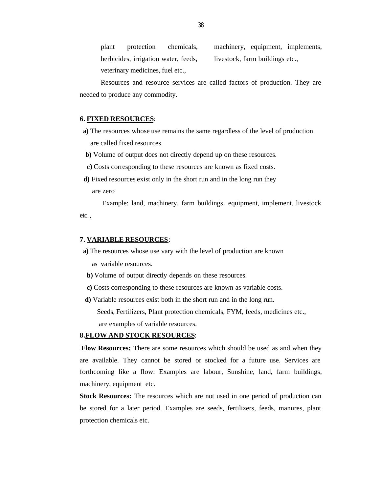plant protection chemicals, herbicides, irrigation water, feeds, veterinary medicines, fuel etc., machinery, equipment, implements, livestock, farm buildings etc.,

Resources and resource services are called factors of production. They are needed to produce any commodity.

#### **6. FIXED RESOURCES**:

- **a)** The resources whose use remains the same regardless of the level of production are called fixed resources.
- **b)** Volume of output does not directly depend up on these resources.
- **c)** Costs corresponding to these resources are known as fixed costs.
- **d)** Fixed resources exist only in the short run and in the long run they are zero

Example: land, machinery, farm buildings, equipment, implement, livestock etc.,

#### **7. VARIABLE RESOURCES**:

- **a)** The resources whose use vary with the level of production are known as variable resources.
- **b)** Volume of output directly depends on these resources.
- **c)** Costs corresponding to these resources are known as variable costs.
- **d)** Variable resources exist both in the short run and in the long run.

 Seeds, Fertilizers, Plant protection chemicals, FYM, feeds, medicines etc., are examples of variable resources.

## **8.FLOW AND STOCK RESOURCES**:

**Flow Resources:** There are some resources which should be used as and when they are available. They cannot be stored or stocked for a future use. Services are forthcoming like a flow. Examples are labour, Sunshine, land, farm buildings, machinery, equipment etc.

**Stock Resources:** The resources which are not used in one period of production can be stored for a later period. Examples are seeds, fertilizers, feeds, manures, plant protection chemicals etc.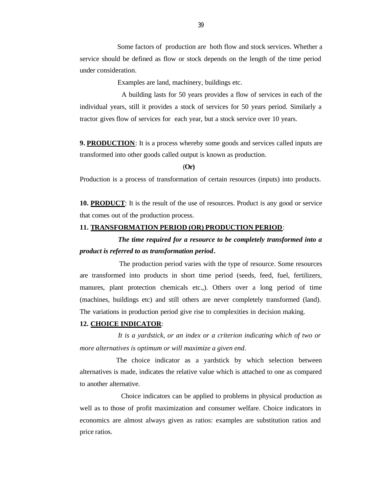Some factors of production are both flow and stock services. Whether a service should be defined as flow or stock depends on the length of the time period under consideration.

Examples are land, machinery, buildings etc.

 A building lasts for 50 years provides a flow of services in each of the individual years, still it provides a stock of services for 50 years period. Similarly a tractor gives flow of services for each year, but a stock service over 10 years.

**9. PRODUCTION**: It is a process whereby some goods and services called inputs are transformed into other goods called output is known as production.

(**Or)**

Production is a process of transformation of certain resources (inputs) into products.

**10. PRODUCT**: It is the result of the use of resources. Product is any good or service that comes out of the production process.

#### **11. TRANSFORMATION PERIOD (OR) PRODUCTION PERIOD**:

 *The time required for a resource to be completely transformed into a product is referred to as transformation period***.**

 The production period varies with the type of resource. Some resources are transformed into products in short time period (seeds, feed, fuel, fertilizers, manures, plant protection chemicals etc.,). Others over a long period of time (machines, buildings etc) and still others are never completely transformed (land). The variations in production period give rise to complexities in decision making.

#### **12. CHOICE INDICATOR**:

 *It is a yardstick, or an index or a criterion indicating which of two or more alternatives is optimum or will maximize a given end*.

 The choice indicator as a yardstick by which selection between alternatives is made, indicates the relative value which is attached to one as compared to another alternative.

 Choice indicators can be applied to problems in physical production as well as to those of profit maximization and consumer welfare. Choice indicators in economics are almost always given as ratios: examples are substitution ratios and price ratios.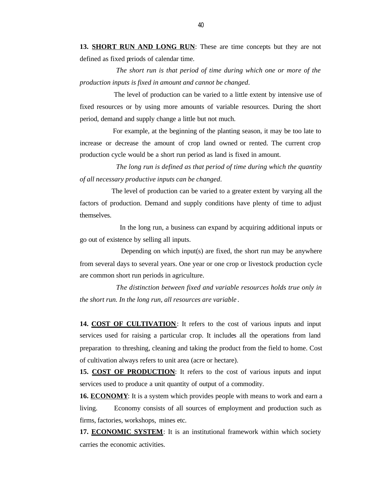**13. SHORT RUN AND LONG RUN**: These are time concepts but they are not defined as fixed periods of calendar time.

 *The short run is that period of time during which one or more of the production inputs is fixed in amount and cannot be changed*.

 The level of production can be varied to a little extent by intensive use of fixed resources or by using more amounts of variable resources. During the short period, demand and supply change a little but not much.

For example, at the beginning of the planting season, it may be too late to increase or decrease the amount of crop land owned or rented. The current crop production cycle would be a short run period as land is fixed in amount.

 *The long run is defined as that period of time during which the quantity of all necessary productive inputs can be changed*.

 The level of production can be varied to a greater extent by varying all the factors of production. Demand and supply conditions have plenty of time to adjust themselves.

 In the long run, a business can expand by acquiring additional inputs or go out of existence by selling all inputs.

 Depending on which input(s) are fixed, the short run may be anywhere from several days to several years. One year or one crop or livestock production cycle are common short run periods in agriculture.

 *The distinction between fixed and variable resources holds true only in the short run. In the long run, all resources are variable* .

**14. COST OF CULTIVATION**: It refers to the cost of various inputs and input services used for raising a particular crop. It includes all the operations from land preparation to threshing, cleaning and taking the product from the field to home. Cost of cultivation always refers to unit area (acre or hectare).

**15. COST OF PRODUCTION:** It refers to the cost of various inputs and input services used to produce a unit quantity of output of a commodity.

**16. ECONOMY**: It is a system which provides people with means to work and earn a living. Economy consists of all sources of employment and production such as firms, factories, workshops, mines etc.

**17. ECONOMIC SYSTEM**: It is an institutional framework within which society carries the economic activities.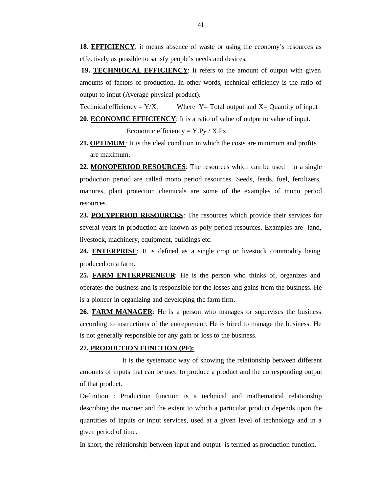**18. EFFICIENCY**: it means absence of waste or using the economy's resources as effectively as possible to satisfy people's needs and desir es.

**19. TECHNIOCAL EFFICIENCY**: It refers to the amount of output with given amounts of factors of production. In other words, technical efficiency is the ratio of output to input (Average physical product).

Technical efficiency =  $Y/X$ , Where Y = Total output and X = Quantity of input **20. ECONOMIC EFFICIENCY**: It is a ratio of value of output to value of input.

Economic efficiency =  $Y.Py / X.Px$ 

**21. OPTIMUM**: It is the ideal condition in which the costs are minimum and profits are maximum.

**22. MONOPERIOD RESOURCES**: The resources which can be used in a single production period are called mono period resources. Seeds, feeds, fuel, fertilizers, manures, plant protection chemicals are some of the examples of mono period resources.

**23. POLYPERIOD RESOURCES**: The resources which provide their services for several years in production are known as poly period resources. Examples are land, livestock, machinery, equipment, buildings etc.

**24. ENTERPRISE**: It is defined as a single crop or livestock commodity being produced on a farm.

**25. FARM ENTERPRENEUR**: He is the person who thinks of, organizes and operates the business and is responsible for the losses and gains from the business. He is a pioneer in organizing and developing the farm firm.

**26. FARM MANAGER**: He is a person who manages or supervises the business according to instructions of the entrepreneur. He is hired to manage the business. He is not generally responsible for any gain or loss to the business.

## **27. PRODUCTION FUNCTION (PF):**

 It is the systematic way of showing the relationship between different amounts of inputs that can be used to produce a product and the corresponding output of that product.

Definition : Production function is a technical and mathematical relationship describing the manner and the extent to which a particular product depends upon the quantities of inputs or input services, used at a given level of technology and in a given period of time.

In short, the relationship between input and output is termed as production function.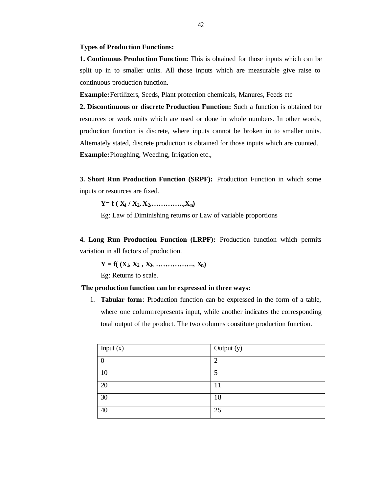#### **Types of Production Functions:**

**1. Continuous Production Function:** This is obtained for those inputs which can be split up in to smaller units. All those inputs which are measurable give raise to continuous production function.

**Example:** Fertilizers, Seeds, Plant protection chemicals, Manures, Feeds etc

**2. Discontinuous or discrete Production Function:** Such a function is obtained for resources or work units which are used or done in whole numbers. In other words, production function is discrete, where inputs cannot be broken in to smaller units. Alternately stated, discrete production is obtained for those inputs which are counted. **Example:** Ploughing, Weeding, Irrigation etc.,

**3. Short Run Production Function (SRPF):** Production Function in which some inputs or resources are fixed.

 $Y = f(X_1 / X_2, X_2, \ldots, X_n)$ 

Eg: Law of Diminishing returns or Law of variable proportions

**4. Long Run Production Function (LRPF):** Production function which permits variation in all factors of production.

 $Y = f((X_1, X_2, X_3, \ldots, X_n))$ 

Eg: Returns to scale.

#### **The production function can be expressed in three ways:**

1. **Tabular form**: Production function can be expressed in the form of a table, where one column represents input, while another indicates the corresponding total output of the product. The two columns constitute production function.

| Input $(x)$ | Output (y) |
|-------------|------------|
| $\Omega$    | ി          |
| 10          | 5          |
| 20          | 11         |
| 30          | 18         |
| 40          | 25         |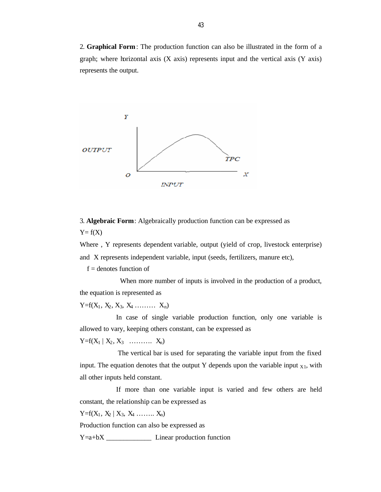2. **Graphical Form**: The production function can also be illustrated in the form of a graph; where horizontal axis  $(X \text{ axis})$  represents input and the vertical axis  $(Y \text{ axis})$ represents the output.



3. **Algebraic Form**: Algebraically production function can be expressed as  $Y = f(X)$ 

Where , Y represents dependent variable, output (yield of crop, livestock enterprise) and X represents independent variable, input (seeds, fertilizers, manure etc),

 $f =$  denotes function of

 When more number of inputs is involved in the production of a product, the equation is represented as

 $Y = f(X_1, X_2, X_3, X_4, \ldots, X_n)$ 

 In case of single variable production function, only one variable is allowed to vary, keeping others constant, can be expressed as

 $Y = f(X_1 | X_2, X_3 \dots | X_n)$ 

 The vertical bar is used for separating the variable input from the fixed input. The equation denotes that the output Y depends upon the variable input  $x_1$ , with all other inputs held constant.

 If more than one variable input is varied and few others are held constant, the relationship can be expressed as

 $Y = f(X_1, X_2 | X_3, X_4 \dots | X_n)$ 

Production function can also be expressed as

Y=a+bX \_\_\_\_\_\_\_\_\_\_\_\_\_ Linear production function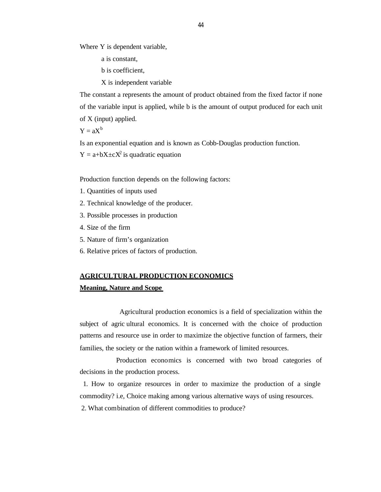Where Y is dependent variable,

a is constant,

b is coefficient,

X is independent variable

The constant a represents the amount of product obtained from the fixed factor if none of the variable input is applied, while b is the amount of output produced for each unit of X (input) applied.

 $Y = aX^b$ 

Is an exponential equation and is known as Cobb-Douglas production function.

 $Y = a+bX \pm cX^2$  is quadratic equation

Production function depends on the following factors:

- 1. Quantities of inputs used
- 2. Technical knowledge of the producer.
- 3. Possible processes in production
- 4. Size of the firm
- 5. Nature of firm's organization
- 6. Relative prices of factors of production.

## **AGRICULTURAL PRODUCTION ECONOMICS**

#### **Meaning, Nature and Scope**

 Agricultural production economics is a field of specialization within the subject of agric ultural economics. It is concerned with the choice of production patterns and resource use in order to maximize the objective function of farmers, their families, the society or the nation within a framework of limited resources.

 Production economics is concerned with two broad categories of decisions in the production process.

 1. How to organize resources in order to maximize the production of a single commodity? i.e, Choice making among various alternative ways of using resources.

2. What combination of different commodities to produce?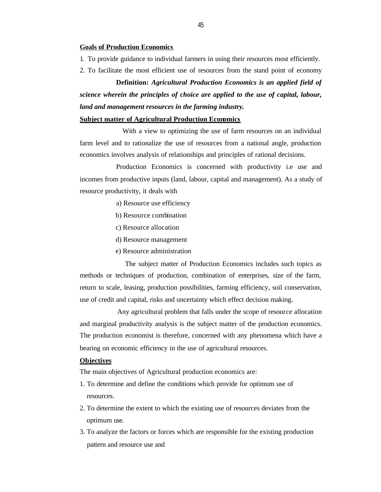#### **Goals of Production Economics**

- 1. To provide guidance to individual farmers in using their resources most efficiently.
- 2. To facilitate the most efficient use of resources from the stand point of economy

 **Definition:** *Agricultural Production Economics is an applied field of science wherein the principles of choice are applied to the use of capital, labour, land and management resources in the farming industry***.**

## **Subject matter of Agricultural Production Economics**

With a view to optimizing the use of farm resources on an individual farm level and to rationalize the use of resources from a national angle, production economics involves analysis of relationships and principles of rational decisions.

 Production Economics is concerned with productivity i.e use and incomes from productive inputs (land, labour, capital and management). As a study of resource productivity, it deals with

- a) Resource use efficiency
- b) Resource combination
- c) Resource allocation
- d) Resource management
- e) Resource administration

 The subject matter of Production Economics includes such topics as methods or techniques of production, combination of enterprises, size of the farm, return to scale, leasing, production possibilities, farming efficiency, soil conservation, use of credit and capital, risks and uncertainty which effect decision making.

 Any agricultural problem that falls under the scope of resource allocation and marginal productivity analysis is the subject matter of the production economics. The production economist is therefore, concerned with any phenomena which have a bearing on economic efficiency in the use of agricultural resources.

## **Objectives**

The main objectives of Agricultural production economics are:

- 1. To determine and define the conditions which provide for optimum use of resources.
- 2. To determine the extent to which the existing use of resources deviates from the optimum use.
- 3. To analyze the factors or forces which are responsible for the existing production pattern and resource use and

45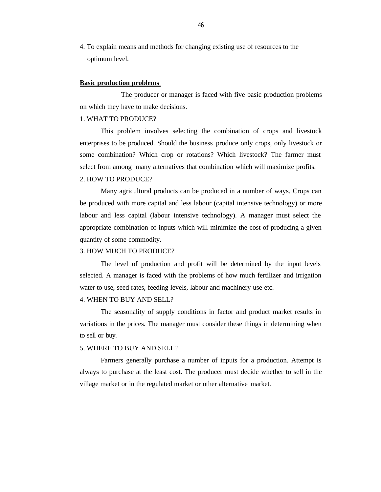4. To explain means and methods for changing existing use of resources to the optimum level.

#### **Basic production problems**

 The producer or manager is faced with five basic production problems on which they have to make decisions.

#### 1. WHAT TO PRODUCE?

This problem involves selecting the combination of crops and livestock enterprises to be produced. Should the business produce only crops, only livestock or some combination? Which crop or rotations? Which livestock? The farmer must select from among many alternatives that combination which will maximize profits.

## 2. HOW TO PRODUCE?

Many agricultural products can be produced in a number of ways. Crops can be produced with more capital and less labour (capital intensive technology) or more labour and less capital (labour intensive technology). A manager must select the appropriate combination of inputs which will minimize the cost of producing a given quantity of some commodity.

#### 3. HOW MUCH TO PRODUCE?

The level of production and profit will be determined by the input levels selected. A manager is faced with the problems of how much fertilizer and irrigation water to use, seed rates, feeding levels, labour and machinery use etc.

#### 4. WHEN TO BUY AND SELL?

The seasonality of supply conditions in factor and product market results in variations in the prices. The manager must consider these things in determining when to sell or buy.

## 5. WHERE TO BUY AND SELL?

Farmers generally purchase a number of inputs for a production. Attempt is always to purchase at the least cost. The producer must decide whether to sell in the village market or in the regulated market or other alternative market.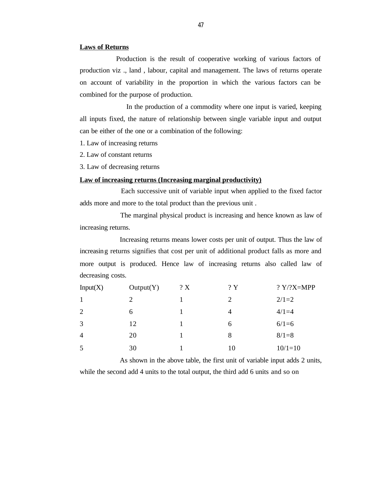#### **Laws of Returns**

 Production is the result of cooperative working of various factors of production viz ., land , labour, capital and management. The laws of returns operate on account of variability in the proportion in which the various factors can be combined for the purpose of production.

 In the production of a commodity where one input is varied, keeping all inputs fixed, the nature of relationship between single variable input and output can be either of the one or a combination of the following:

1. Law of increasing returns

2. Law of constant returns

3. Law of decreasing returns

## **Law of increasing returns (Increasing marginal productivity)**

 Each successive unit of variable input when applied to the fixed factor adds more and more to the total product than the previous unit .

 The marginal physical product is increasing and hence known as law of increasing returns.

 Increasing returns means lower costs per unit of output. Thus the law of increasing returns signifies that cost per unit of additional product falls as more and more output is produced. Hence law of increasing returns also called law of decreasing costs.

| Input(X)       | Output(Y) | ? X | ?Y | ? $Y$ ? $X=MPP$ |
|----------------|-----------|-----|----|-----------------|
| $\mathbf{1}$   | 2         |     | 2  | $2/1=2$         |
| 2              | 6         |     | 4  | $4/1=4$         |
| 3              | 12        |     | 6  | $6/1=6$         |
| $\overline{4}$ | 20        |     | 8  | $8/1=8$         |
| 5              | 30        |     | 10 | $10/1=10$       |

As shown in the above table, the first unit of variable input adds 2 units,

while the second add 4 units to the total output, the third add 6 units and so on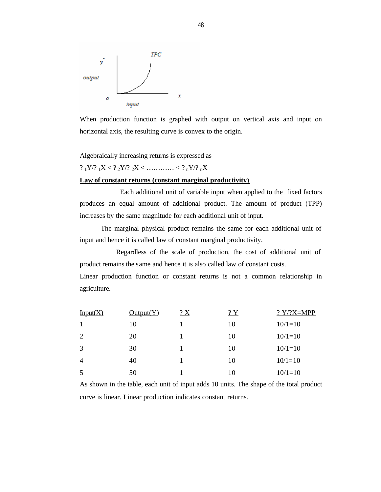

When production function is graphed with output on vertical axis and input on horizontal axis, the resulting curve is convex to the origin.

Algebraically increasing returns is expressed as

?  $1Y$ /?  $1X < ?$   $2Y$ /?  $2X < ...$   $2Y$   $3Y$ /?  $2X$ 

#### **Law of constant returns (constant marginal productivity)**

 Each additional unit of variable input when applied to the fixed factors produces an equal amount of additional product. The amount of product (TPP) increases by the same magnitude for each additional unit of input.

The marginal physical product remains the same for each additional unit of input and hence it is called law of constant marginal productivity.

 Regardless of the scale of production, the cost of additional unit of product remains the same and hence it is also called law of constant costs.

Linear production function or constant returns is not a common relationship in agriculture.

| Input(X)       | Output(Y) | $2 \times$ | 2Y | $? Y$ /?X=MPP |
|----------------|-----------|------------|----|---------------|
|                | 10        |            | 10 | $10/1=10$     |
| 2              | 20        |            | 10 | $10/1=10$     |
| 3              | 30        |            | 10 | $10/1=10$     |
| $\overline{4}$ | 40        |            | 10 | $10/1=10$     |
| 5              | 50        |            | 10 | $10/1=10$     |

As shown in the table, each unit of input adds 10 units. The shape of the total product curve is linear. Linear production indicates constant returns.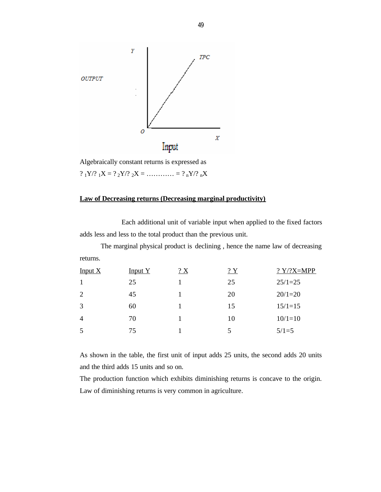

Algebraically constant returns is expressed as ?  $_1Y$  ?  $_1X = ?_2Y$  ?  $_2X =$  ............ = ?  $_nY$  ?  $_nX$ 

## **Law of Decreasing returns (Decreasing marginal productivity)**

 Each additional unit of variable input when applied to the fixed factors adds less and less to the total product than the previous unit.

The marginal physical product is declining , hence the name law of decreasing returns.

| Input $X$      | Input Y | $2 \times$ | ?Y | ? $Y$ ? $X=MPP$ |
|----------------|---------|------------|----|-----------------|
|                | 25      |            | 25 | $25/1=25$       |
| 2              | 45      |            | 20 | $20/1=20$       |
| 3              | 60      |            | 15 | $15/1=15$       |
| $\overline{4}$ | 70      |            | 10 | $10/1=10$       |
| 5              | 75      |            | 5  | $5/1=5$         |

As shown in the table, the first unit of input adds 25 units, the second adds 20 units and the third adds 15 units and so on.

The production function which exhibits diminishing returns is concave to the origin. Law of diminishing returns is very common in agriculture.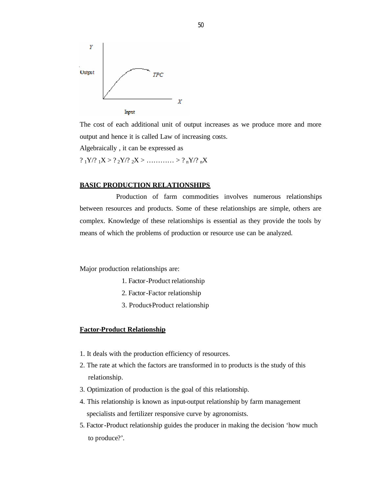

The cost of each additional unit of output increases as we produce more and more output and hence it is called Law of increasing costs.

Algebraically , it can be expressed as

? <sup>1</sup>Y/? <sup>1</sup>X > ? <sup>2</sup>Y/? <sup>2</sup>X > ………… > ? <sup>n</sup>Y/? <sup>n</sup>X

## **BASIC PRODUCTION RELATIONSHIPS**

 Production of farm commodities involves numerous relationships between resources and products. Some of these relationships are simple, others are complex. Knowledge of these relationships is essential as they provide the tools by means of which the problems of production or resource use can be analyzed.

Major production relationships are:

- 1. Factor-Product relationship
- 2. Factor-Factor relationship
- 3. Product-Product relationship

### **Factor-Product Relationship**

- 1. It deals with the production efficiency of resources.
- 2. The rate at which the factors are transformed in to products is the study of this relationship.
- 3. Optimization of production is the goal of this relationship.
- 4. This relationship is known as input-output relationship by farm management specialists and fertilizer responsive curve by agronomists.
- 5. Factor-Product relationship guides the producer in making the decision 'how much to produce?'.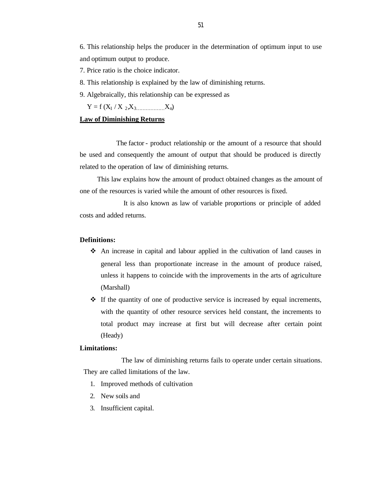6. This relationship helps the producer in the determination of optimum input to use and optimum output to produce.

- 7. Price ratio is the choice indicator.
- 8. This relationship is explained by the law of diminishing returns.
- 9. Algebraically, this relationship can be expressed as

 $Y = f(X_1 / X_2, X_3, \dots, X_n)$ 

## **Law of Diminishing Returns**

 The factor - product relationship or the amount of a resource that should be used and consequently the amount of output that should be produced is directly related to the operation of law of diminishing returns.

 This law explains how the amount of product obtained changes as the amount of one of the resources is varied while the amount of other resources is fixed.

 It is also known as law of variable proportions or principle of added costs and added returns.

## **Definitions:**

- v An increase in capital and labour applied in the cultivation of land causes in general less than proportionate increase in the amount of produce raised, unless it happens to coincide with the improvements in the arts of agriculture (Marshall)
- $\cdot \cdot$  If the quantity of one of productive service is increased by equal increments, with the quantity of other resource services held constant, the increments to total product may increase at first but will decrease after certain point (Heady)

## **Limitations:**

 The law of diminishing returns fails to operate under certain situations. They are called limitations of the law.

- 1. Improved methods of cultivation
- 2. New soils and
- 3. Insufficient capital.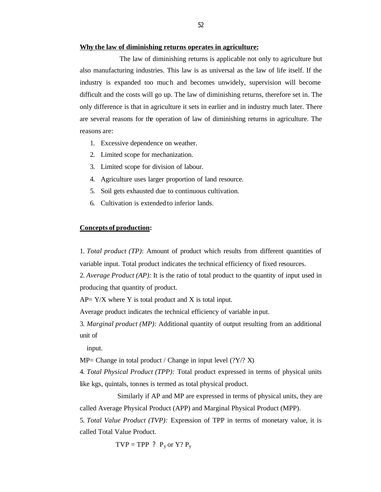#### **Why the law of diminishing returns operates in agriculture:**

 The law of diminishing returns is applicable not only to agriculture but also manufacturing industries. This law is as universal as the law of life itself. If the industry is expanded too muc h and becomes unwidely, supervision will become difficult and the costs will go up. The law of diminishing returns, therefore set in. The only difference is that in agriculture it sets in earlier and in industry much later. There are several reasons for the operation of law of diminishing returns in agriculture. The reasons are:

- 1. Excessive dependence on weather.
- 2. Limited scope for mechanization.
- 3. Limited scope for division of labour.
- 4. Agriculture uses larger proportion of land resource.
- 5. Soil gets exhausted due to continuous cultivation.
- 6. Cultivation is extended to inferior lands.

### **Concepts of production:**

1. *Total product (TP)*: Amount of product which results from different quantities of variable input. Total product indicates the technical efficiency of fixed resources.

2. *Average Product (AP):* It is the ratio of total product to the quantity of input used in producing that quantity of product.

 $AP = Y/X$  where Y is total product and X is total input.

Average product indicates the technical efficiency of variable input.

3. *Marginal product (MP):* Additional quantity of output resulting from an additional unit of

input.

 $MP = Change$  in total product / Change in input level (?Y/? X)

4. *Total Physical Product (TPP):* Total product expressed in terms of physical units like kgs, quintals, tonnes is termed as total physical product.

 Similarly if AP and MP are expressed in terms of physical units, they are called Average Physical Product (APP) and Marginal Physical Product (MPP).

5. *Total Value Product (TVP):* Expression of TPP in terms of monetary value, it is called Total Value Product.

 $TVP = TPP$  ?  $P_v$  or  $Y$ ?  $P_v$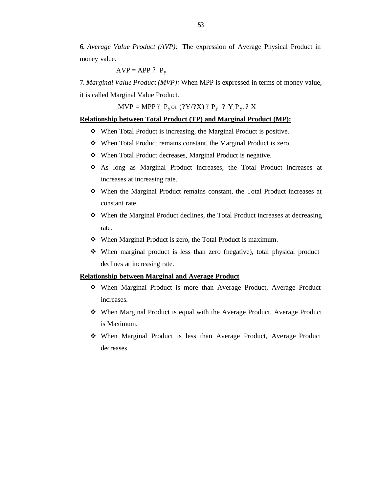6. *Average Value Product (AVP):* The expression of Average Physical Product in money value.

$$
AVP = APP ? P_y
$$

7. *Marginal Value Product (MVP):* When MPP is expressed in terms of money value,

it is called Marginal Value Product.

 $MVP = MPP$ ?  $P_y$  or (?Y/?X) ?  $P_y$  ?  $Y \cdot P_{y/}$ ? X

## **Relationship between Total Product (TP) and Marginal Product (MP):**

- $\div$  When Total Product is increasing, the Marginal Product is positive.
- When Total Product remains constant, the Marginal Product is zero.
- When Total Product decreases, Marginal Product is negative.
- v As long as Marginal Product increases, the Total Product increases at increases at increasing rate.
- When the Marginal Product remains constant, the Total Product increases at constant rate.
- When the Marginal Product declines, the Total Product increases at decreasing rate.
- $\cdot \cdot$  When Marginal Product is zero, the Total Product is maximum.
- $\mathbf{\hat{v}}$  When marginal product is less than zero (negative), total physical product declines at increasing rate.

## **Relationship between Marginal and Average Product**

- When Marginal Product is more than Average Product, Average Product increases.
- When Marginal Product is equal with the Average Product, Average Product is Maximum.
- $\div$  When Marginal Product is less than Average Product, Average Product decreases.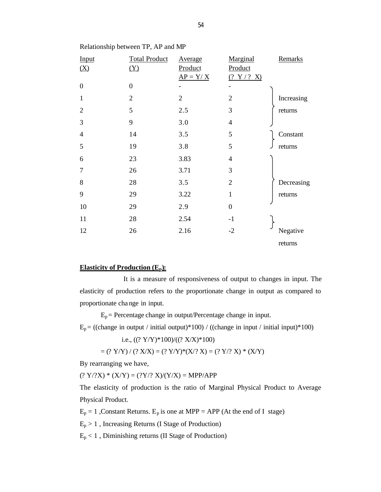| Input            | <b>Total Product</b> | Average        | Marginal       | Remarks    |
|------------------|----------------------|----------------|----------------|------------|
| (X)              | (Y)                  | Product        | Product        |            |
|                  |                      | $AP = Y/X$     | (? Y / ? X)    |            |
| $\boldsymbol{0}$ | $\boldsymbol{0}$     |                |                |            |
| $\mathbf{1}$     | $\overline{2}$       | $\overline{2}$ | $\overline{2}$ | Increasing |
| $\overline{2}$   | 5                    | 2.5            | 3              | returns    |
| 3                | 9                    | 3.0            | $\overline{4}$ |            |
| $\overline{4}$   | 14                   | 3.5            | 5              | Constant   |
| 5                | 19                   | 3.8            | 5              | returns    |
| 6                | 23                   | 3.83           | $\overline{4}$ |            |
| 7                | 26                   | 3.71           | 3              |            |
| 8                | 28                   | 3.5            | $\overline{2}$ | Decreasing |
| 9                | 29                   | 3.22           | $\mathbf{1}$   | returns    |
| 10               | 29                   | 2.9            | $\mathbf{0}$   |            |
| 11               | 28                   | 2.54           | $-1$           |            |
| 12               | 26                   | 2.16           | $-2$           | Negative   |
|                  |                      |                |                | returns    |

Relationship between TP, AP and MP

## **Elasticity of Production (Ep):**

 It is a measure of responsiveness of output to changes in input. The elasticity of production refers to the proportionate change in output as compared to proportionate change in input.

 $E_p$  = Percentage change in output/Percentage change in input.

 $E_p =$  ((change in output / initial output)\*100) / ((change in input / initial input)\*100)

i.e., 
$$
((? Y/Y)*100)/((? X/X)*100)
$$

$$
= (? Y/Y) / (? X/X) = (? Y/Y)* (X)? X) = (? Y)? X) * (X/Y)
$$

By rearranging we have,

 $(? Y?X) * (X/Y) = (?Y? X)/(Y/X) = MPP/APP$ 

The elasticity of production is the ratio of Marginal Physical Product to Average Physical Product.

 $E_p = 1$ , Constant Returns.  $E_p$  is one at MPP = APP (At the end of I stage)

 $E_p > 1$ , Increasing Returns (I Stage of Production)

 $E_p < 1$ , Diminishing returns (II Stage of Production)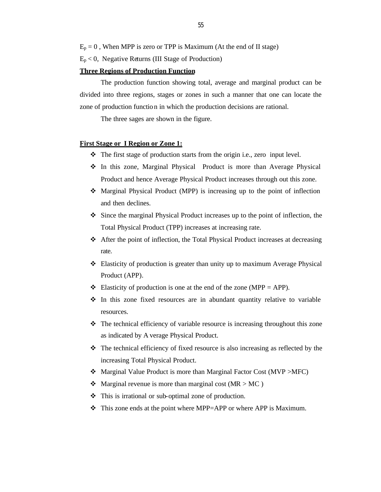$E_p = 0$ , When MPP is zero or TPP is Maximum (At the end of II stage)

 $E_p < 0$ , Negative Returns (III Stage of Production)

## **Three Regions of Production Function**

The production function showing total, average and marginal product can be divided into three regions, stages or zones in such a manner that one can locate the zone of production function in which the production decisions are rational.

The three sages are shown in the figure.

## **First Stage or I Region or Zone 1:**

- $\cdot \cdot$  The first stage of production starts from the origin i.e., zero input level.
- \* In this zone, Marginal Physical Product is more than Average Physical Product and hence Average Physical Product increases through out this zone.
- Marginal Physical Product (MPP) is increasing up to the point of inflection and then declines.
- v Since the marginal Physical Product increases up to the point of inflection, the Total Physical Product (TPP) increases at increasing rate.
- $\triangle$  After the point of inflection, the Total Physical Product increases at decreasing rate.
- $\triangle$  Elasticity of production is greater than unity up to maximum Average Physical Product (APP).
- $\div$  Elasticity of production is one at the end of the zone (MPP = APP).
- $\cdot \cdot$  In this zone fixed resources are in abundant quantity relative to variable resources.
- $\cdot \cdot$  The technical efficiency of variable resource is increasing throughout this zone as indicated by A verage Physical Product.
- $\triangleleft$  The technical efficiency of fixed resource is also increasing as reflected by the increasing Total Physical Product.
- $\triangleleft$  Marginal Value Product is more than Marginal Factor Cost (MVP >MFC)
- Marginal revenue is more than marginal cost ( $MR > MC$ )
- $\cdot \cdot$  This is irrational or sub-optimal zone of production.
- $\cdot \cdot$  This zone ends at the point where MPP=APP or where APP is Maximum.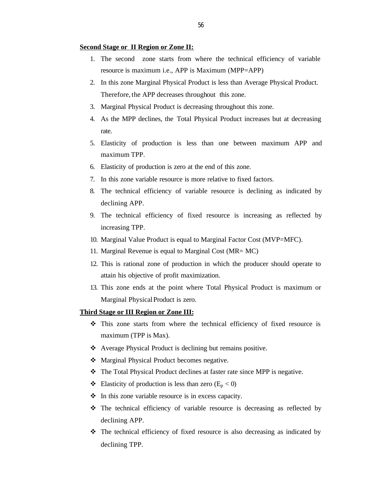#### **Second Stage or II Region or Zone II:**

- 1. The second zone starts from where the technical efficiency of variable resource is maximum i.e., APP is Maximum (MPP=APP)
- 2. In this zone Marginal Physical Product is less than Average Physical Product. Therefore, the APP decreases throughout this zone.
- 3. Marginal Physical Product is decreasing throughout this zone.
- 4. As the MPP declines, the Total Physical Product increases but at decreasing rate.
- 5. Elasticity of production is less than one between maximum APP and maximum TPP.
- 6. Elasticity of production is zero at the end of this zone.
- 7. In this zone variable resource is more relative to fixed factors.
- 8. The technical efficiency of variable resource is declining as indicated by declining APP.
- 9. The technical efficiency of fixed resource is increasing as reflected by increasing TPP.
- 10. Marginal Value Product is equal to Marginal Factor Cost (MVP=MFC).
- 11. Marginal Revenue is equal to Marginal Cost (MR= MC)
- 12. This is rational zone of production in which the producer should operate to attain his objective of profit maximization.
- 13. This zone ends at the point where Total Physical Product is maximum or Marginal Physical Product is zero.

#### **Third Stage or III Region or Zone III:**

- $\hat{v}$  This zone starts from where the technical efficiency of fixed resource is maximum (TPP is Max).
- \* Average Physical Product is declining but remains positive.
- Marginal Physical Product becomes negative.
- The Total Physical Product declines at faster rate since MPP is negative.
- ◆ Elasticity of production is less than zero ( $E_p < 0$ )
- $\cdot \cdot$  In this zone variable resource is in excess capacity.
- v The technical efficiency of variable resource is decreasing as reflected by declining APP.
- $\hat{\mathbf{v}}$  The technical efficiency of fixed resource is also decreasing as indicated by declining TPP.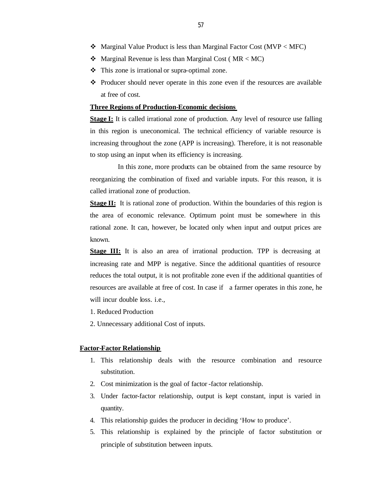- $\triangleleft$  Marginal Value Product is less than Marginal Factor Cost (MVP < MFC)
- Marginal Revenue is less than Marginal Cost ( $MR < MC$ )
- $\cdot \cdot$  This zone is irrational or supra-optimal zone.
- Producer should never operate in this zone even if the resources are available at free of cost.

### **Three Regions of Production-Economic decisions**

**Stage I:** It is called irrational zone of production. Any level of resource use falling in this region is uneconomical. The technical efficiency of variable resource is increasing throughout the zone (APP is increasing). Therefore, it is not reasonable to stop using an input when its efficiency is increasing.

 In this zone, more products can be obtained from the same resource by reorganizing the combination of fixed and variable inputs. For this reason, it is called irrational zone of production.

**Stage II:** It is rational zone of production. Within the boundaries of this region is the area of economic relevance. Optimum point must be somewhere in this rational zone. It can, however, be located only when input and output prices are known.

**Stage III:** It is also an area of irrational production. TPP is decreasing at increasing rate and MPP is negative. Since the additional quantities of resource reduces the total output, it is not profitable zone even if the additional quantities of resources are available at free of cost. In case if a farmer operates in this zone, he will incur double loss. i.e.,

- 1. Reduced Production
- 2. Unnecessary additional Cost of inputs.

## **Factor-Factor Relationship**

- 1. This relationship deals with the resource combination and resource substitution.
- 2. Cost minimization is the goal of factor -factor relationship.
- 3. Under factor-factor relationship, output is kept constant, input is varied in quantity.
- 4. This relationship guides the producer in deciding 'How to produce'.
- 5. This relationship is explained by the principle of factor substitution or principle of substitution between inputs.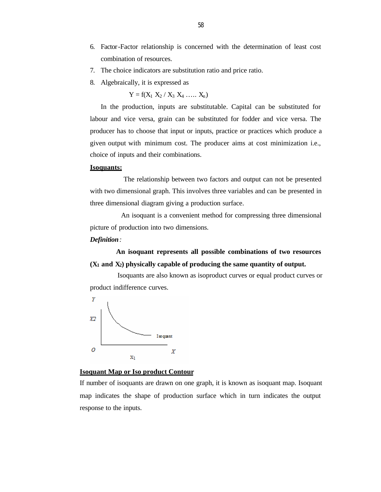- 6. Factor-Factor relationship is concerned with the determination of least cost combination of resources.
- 7. The choice indicators are substitution ratio and price ratio.
- 8. Algebraically, it is expressed as

 $Y = f(X_1 \ X_2 \ / \ X_3 \ X_4 \ ... \ X_n)$ 

In the production, inputs are substitutable. Capital can be substituted for labour and vice versa, grain can be substituted for fodder and vice versa. The producer has to choose that input or inputs, practice or practices which produce a given output with minimum cost. The producer aims at cost minimization i.e., choice of inputs and their combinations.

#### **Isoquants:**

 The relationship between two factors and output can not be presented with two dimensional graph. This involves three variables and can be presented in three dimensional diagram giving a production surface.

 An isoquant is a convenient method for compressing three dimensional picture of production into two dimensions.

#### *Definition:*

 **An isoquant represents all possible combinations of two resources (X1 and X2) physically capable of producing the same quantity of output.**

 Isoquants are also known as isoproduct curves or equal product curves or product indifference curves.



## **Isoquant Map or Iso product Contour**

If number of isoquants are drawn on one graph, it is known as isoquant map. Isoquant map indicates the shape of production surface which in turn indicates the output response to the inputs.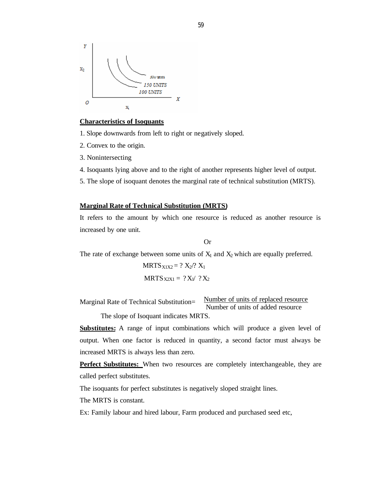

#### **Characteristics of Isoquants**

1. Slope downwards from left to right or negatively sloped.

- 2. Convex to the origin.
- 3. Nonintersecting
- 4. Isoquants lying above and to the right of another represents higher level of output.
- 5. The slope of isoquant denotes the marginal rate of technical substitution (MRTS).

## **Marginal Rate of Technical Substitution (MRTS)**

It refers to the amount by which one resource is reduced as another resource is increased by one unit.

**Or** 

The rate of exchange between some units of  $X_1$  and  $X_2$  which are equally preferred.

$$
MRTS_{X1X2} = ? X_2? X_1
$$
  

$$
MRTS_{X2X1} = ? X_1/ ? X_2
$$

Marginal Rate of Technical Substitution= Number of units of replaced resource Number of units of added resource

The slope of Isoquant indicates MRTS.

**Substitutes:** A range of input combinations which will produce a given level of output. When one factor is reduced in quantity, a second factor must always be increased MRTS is always less than zero.

**Perfect Substitutes:** When two resources are completely interchangeable, they are called perfect substitutes.

The isoquants for perfect substitutes is negatively sloped straight lines.

The MRTS is constant.

Ex: Family labour and hired labour, Farm produced and purchased seed etc,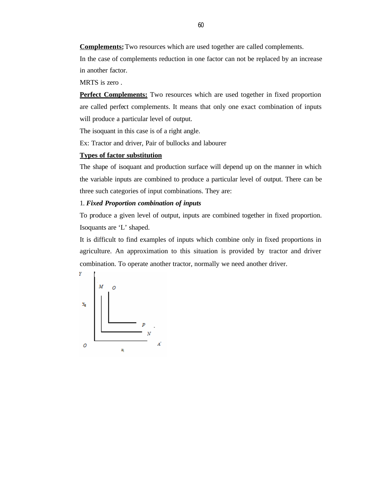**Complements:** Two resources which are used together are called complements.

In the case of complements reduction in one factor can not be replaced by an increase in another factor.

MRTS is zero .

**Perfect Complements:** Two resources which are used together in fixed proportion are called perfect complements. It means that only one exact combination of inputs will produce a particular level of output.

The isoquant in this case is of a right angle.

Ex: Tractor and driver, Pair of bullocks and labourer

## **Types of factor substitution**

The shape of isoquant and production surface will depend up on the manner in which the variable inputs are combined to produce a particular level of output. There can be three such categories of input combinations. They are:

## 1. *Fixed Proportion combination of inputs*

To produce a given level of output, inputs are combined together in fixed proportion. Isoquants are 'L' shaped.

It is difficult to find examples of inputs which combine only in fixed proportions in agriculture. An approximation to this situation is provided by tractor and driver combination. To operate another tractor, normally we need another driver.

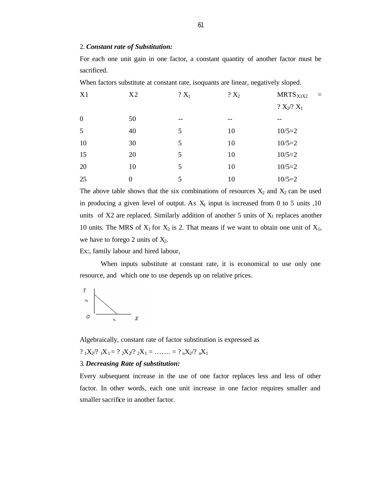#### 2. *Constant rate of Substitution:*

For each one unit gain in one factor, a constant quantity of another factor must be sacrificed.

When factors substitute at constant rate, isoquants are linear, negatively sloped.

| X1               | X <sub>2</sub> | $?X_1$ | $? X_2$ | MRTS <sub>X1X2</sub><br>$=$ |
|------------------|----------------|--------|---------|-----------------------------|
|                  |                |        |         | $? X_2? X_1$                |
| $\boldsymbol{0}$ | 50             | --     | --      |                             |
| 5                | 40             | 5      | 10      | $10/5=2$                    |
| 10               | 30             | 5      | 10      | $10/5=2$                    |
| 15               | 20             | 5      | 10      | $10/5=2$                    |
| 20               | 10             | 5      | 10      | $10/5=2$                    |
| 25               | $\theta$       | 5      | 10      | $10/5=2$                    |

The above table shows that the six combinations of resources  $X_2$  and  $X_2$  can be used in producing a given level of output. As  $X_1$  input is increased from 0 to 5 units ,10 units of  $X2$  are replaced. Similarly addition of another 5 units of  $X_1$  replaces another 10 units. The MRS of  $X_1$  for  $X_2$  is 2. That means if we want to obtain one unit of  $X_1$ , we have to forego 2 units of  $X_2$ .

Ex:, family labour and hired labour,

When inputs substitute at constant rate, it is economical to use only one resource, and which one to use depends up on relative prices.



Algebraically, constant rate of factor substitution is expressed as

?  $1X_2$ ?  $1X_1 = ? 2X_2$ ?  $2X_1 = \ldots = ? 2X_2$ ?  $2X_1$ 

## 3. *Decreasing Rate of substitution:*

Every subsequent increase in the use of one factor replaces less and less of other factor. In other words, each one unit increase in one factor requires smaller and smaller sacrifice in another factor.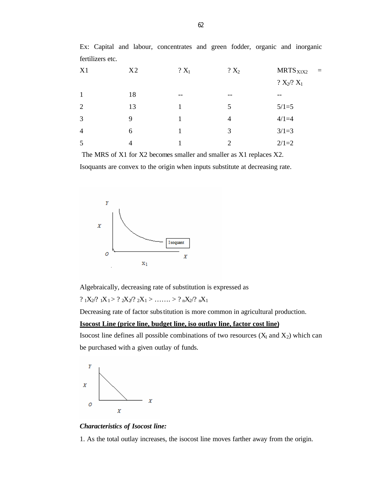| X1             | X <sub>2</sub> | $? X_1$ | $? X_2$        | $MRTS_{X1X2}$<br>$=$ |
|----------------|----------------|---------|----------------|----------------------|
|                |                |         |                | $? X_2? X_1$         |
| $\mathbf{1}$   | 18             | --      | --             |                      |
| 2              | 13             |         | 5              | $5/1=5$              |
| 3              | 9              |         | $\overline{4}$ | $4/1=4$              |
| $\overline{4}$ | 6              |         | 3              | $3/1=3$              |
| 5              | 4              |         | 2              | $2/1=2$              |

Ex: Capital and labour, concentrates and green fodder, organic and inorganic fertilizers etc.

 The MRS of X1 for X2 becomes smaller and smaller as X1 replaces X2. Isoquants are convex to the origin when inputs substitute at decreasing rate.



Algebraically, decreasing rate of substitution is expressed as

? 
$$
{}_1X_2
$$
?  ${}_1X_1$  > ?  ${}_2X_2$ ?  ${}_2X_1$  > …… > ?  ${}_nX_2$ ?  ${}_nX_1$ 

Decreasing rate of factor substitution is more common in agricultural production.

## **Isocost Line (price line, budget line, iso outlay line, factor cost line)**

Isocost line defines all possible combinations of two resources  $(X_1 \text{ and } X_2)$  which can be purchased with a given outlay of funds.



#### *Characteristics of Isocost line:*

1. As the total outlay increases, the isocost line moves farther away from the origin.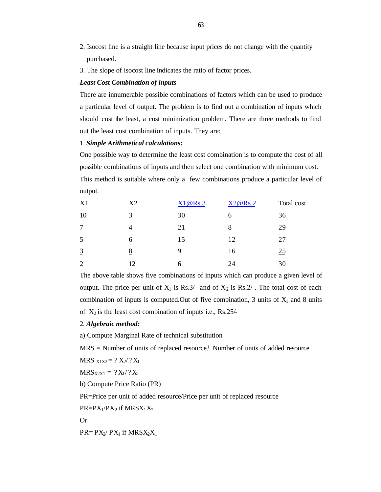- 2. Isocost line is a straight line because input prices do not change with the quantity purchased.
- 3. The slope of isocost line indicates the ratio of factor prices.

### *Least Cost Combination of inputs*

There are innumerable possible combinations of factors which can be used to produce a particular level of output. The problem is to find out a combination of inputs which should cost the least, a cost minimization problem. There are three methods to find out the least cost combination of inputs. They are:

## 1. *Simple Arithmetical calculations:*

One possible way to determine the least cost combination is to compute the cost of all possible combinations of inputs and then select one combination with minimum cost. This method is suitable where only a few combinations produce a particular level of output.

| X1             | X <sub>2</sub> | X1@Rs.3 | X2@Rs.2 | Total cost |
|----------------|----------------|---------|---------|------------|
| 10             | 3              | 30      | 6       | 36         |
|                | Δ              | 21      | 8       | 29         |
| 5              | 6              | 15      | 12      | 27         |
| $\overline{3}$ | 8              | 9       | 16      | 25         |
| $\overline{2}$ | 12             | 6       | 24      | 30         |

The above table shows five combinations of inputs which can produce a given level of output. The price per unit of  $X_1$  is Rs.3/- and of  $X_2$  is Rs.2/-. The total cost of each combination of inputs is computed. Out of five combination, 3 units of  $X_1$  and 8 units of  $X_2$  is the least cost combination of inputs i.e., Rs.25/-

#### 2. *Algebraic method:*

a) Compute Marginal Rate of technical substitution

MRS = Number of units of replaced resource / Number of units of added resource

MRS  $x_1x_2 = ? X_2/? X_1$ 

 $MRS_{X2X1} = ?X_1$ /? $X_2$ 

b) Compute Price Ratio (PR)

PR=Price per unit of added resource/Price per unit of replaced resource

 $PR = PX_1/PX_2$  if  $MRSX_1X_2$ 

Or

 $PR = PX_2/ PX_1$  if  $MRSX_2X_1$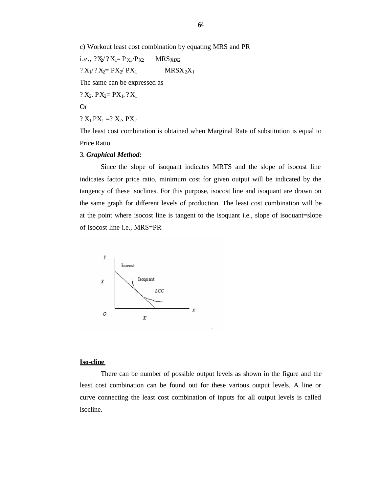c) Workout least cost combination by equating MRS and PR

i.e.,  $?X_2$ /? $X_1 = P_{X1}/P_{X2}$  MRS<sub>X1X2</sub>  $? X_1/? X_2 = PX_2/ PX_1$  MRS $X_2X_1$ 

The same can be expressed as

?  $X_2$ .  $PX_2 = PX_1$ . ?  $X_1$ 

Or

?  $X_1$   $PX_1$  =?  $X_2$ .  $PX_2$ 

The least cost combination is obtained when Marginal Rate of substitution is equal to Price Ratio.

#### 3. *Graphical Method:*

Since the slope of isoquant indicates MRTS and the slope of isocost line indicates factor price ratio, minimum cost for given output will be indicated by the tangency of these isoclines. For this purpose, isocost line and isoquant are drawn on the same graph for different levels of production. The least cost combination will be at the point where isocost line is tangent to the isoquant i.e., slope of isoquant=slope of isocost line i.e., MRS=PR



## **Iso-cline**

There can be number of possible output levels as shown in the figure and the least cost combination can be found out for these various output levels. A line or curve connecting the least cost combination of inputs for all output levels is called isocline.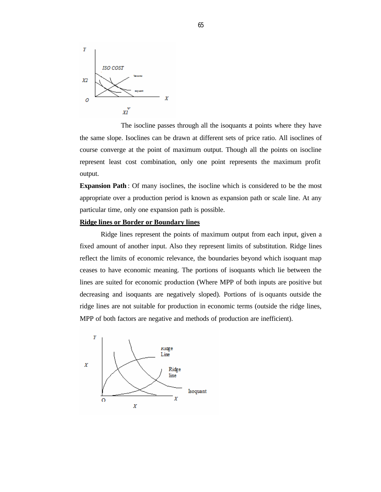

 The isocline passes through all the isoquants at points where they have the same slope. Isoclines can be drawn at different sets of price ratio. All isoclines of course converge at the point of maximum output. Though all the points on isocline represent least cost combination, only one point represents the maximum profit output.

**Expansion Path** : Of many isoclines, the isocline which is considered to be the most appropriate over a production period is known as expansion path or scale line. At any particular time, only one expansion path is possible.

## **Ridge lines or Border or Boundary lines**

Ridge lines represent the points of maximum output from each input, given a fixed amount of another input. Also they represent limits of substitution. Ridge lines reflect the limits of economic relevance, the boundaries beyond which isoquant map ceases to have economic meaning. The portions of isoquants which lie between the lines are suited for economic production (Where MPP of both inputs are positive but decreasing and isoquants are negatively sloped). Portions of is oquants outside the ridge lines are not suitable for production in economic terms (outside the ridge lines, MPP of both factors are negative and methods of production are inefficient).

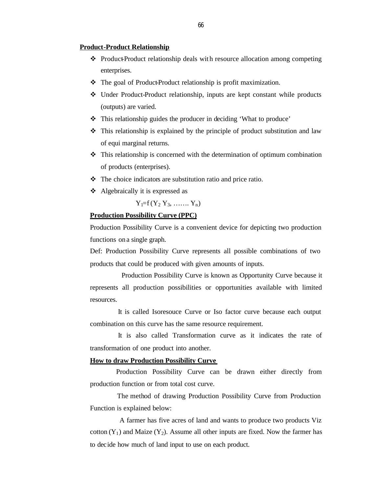#### **Product-Product Relationship**

- $\triangle$  Product-Product relationship deals with resource allocation among competing enterprises.
- $\cdot \cdot$  The goal of Product-Product relationship is profit maximization.
- v Under Product-Product relationship, inputs are kept constant while products (outputs) are varied.
- This relationship guides the producer in deciding 'What to produce'
- $\div$  This relationship is explained by the principle of product substitution and law of equi marginal returns.
- $\cdot \cdot$  This relationship is concerned with the determination of optimum combination of products (enterprises).
- $\cdot \cdot$  The choice indicators are substitution ratio and price ratio.
- $\triangleleft$  Algebraically it is expressed as

$$
Y_i = f(Y_2 Y_3, \ldots, Y_n)
$$

## **Production Possibility Curve (PPC)**

Production Possibility Curve is a convenient device for depicting two production functions on a single graph.

Def: Production Possibility Curve represents all possible combinations of two products that could be produced with given amounts of inputs.

 Production Possibility Curve is known as Opportunity Curve because it represents all production possibilities or opportunities available with limited resources.

 It is called Isoresouce Curve or Iso factor curve because each output combination on this curve has the same resource requirement.

 It is also called Transformation curve as it indicates the rate of transformation of one product into another.

### **How to draw Production Possibility Curve**

 Production Possibility Curve can be drawn either directly from production function or from total cost curve.

 The method of drawing Production Possibility Curve from Production Function is explained below:

 A farmer has five acres of land and wants to produce two products Viz cotton  $(Y_1)$  and Maize  $(Y_2)$ . Assume all other inputs are fixed. Now the farmer has to decide how much of land input to use on each product.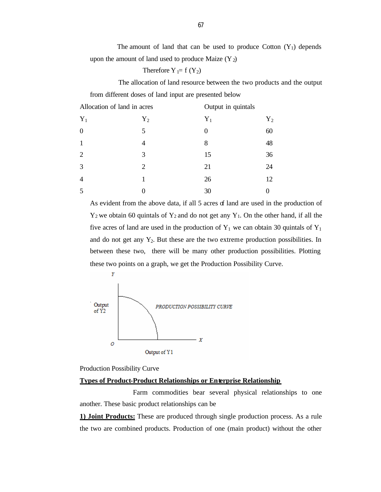The amount of land that can be used to produce Cotton  $(Y_1)$  depends upon the amount of land used to produce Maize  $(Y_2)$ 

Therefore  $Y_1 = f(Y_2)$ 

 The allocation of land resource between the two products and the output from different doses of land input are presented below

| Allocation of land in acres |       | Output in quintals |       |
|-----------------------------|-------|--------------------|-------|
| $Y_1$                       | $Y_2$ | $Y_1$              | $Y_2$ |
| $\overline{0}$              | 5     |                    | 60    |
| $\mathbf{1}$                | 4     | 8                  | 48    |
| $\overline{2}$              | 3     | 15                 | 36    |
| 3                           | 2     | 21                 | 24    |
| $\overline{4}$              |       | 26                 | 12    |
| 5                           |       | 30                 |       |

As evident from the above data, if all 5 acres of land are used in the production of  $Y_2$  we obtain 60 quintals of  $Y_2$  and do not get any  $Y_1$ . On the other hand, if all the five acres of land are used in the production of  $Y_1$  we can obtain 30 quintals of  $Y_1$ and do not get any  $Y_2$ . But these are the two extreme production possibilities. In between these two, there will be many other production possibilities. Plotting these two points on a graph, we get the Production Possibility Curve.



Production Possibility Curve

## **Types of Product-Product Relationships or Enterprise Relationship**

Farm commodities bear several physical relationships to one another. These basic product relationships can be

**1) Joint Products:** These are produced through single production process. As a rule the two are combined products. Production of one (main product) without the other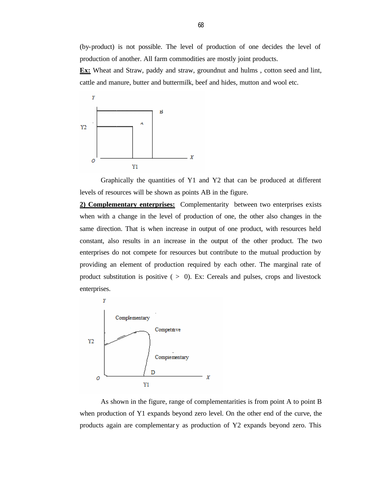(by-product) is not possible. The level of production of one decides the level of production of another. All farm commodities are mostly joint products.

**Ex:** Wheat and Straw, paddy and straw, groundnut and hulms, cotton seed and lint, cattle and manure, butter and buttermilk, beef and hides, mutton and wool etc.



Graphically the quantities of Y1 and Y2 that can be produced at different levels of resources will be shown as points AB in the figure.

**2) Complementary enterprises:** Complementarity between two enterprises exists when with a change in the level of production of one, the other also changes in the same direction. That is when increase in output of one product, with resources held constant, also results in an increase in the output of the other product. The two enterprises do not compete for resources but contribute to the mutual production by providing an element of production required by each other. The marginal rate of product substitution is positive  $( > 0)$ . Ex: Cereals and pulses, crops and livestock enterprises.



As shown in the figure, range of complementarities is from point A to point B when production of Y1 expands beyond zero level. On the other end of the curve, the products again are complementar y as production of Y2 expands beyond zero. This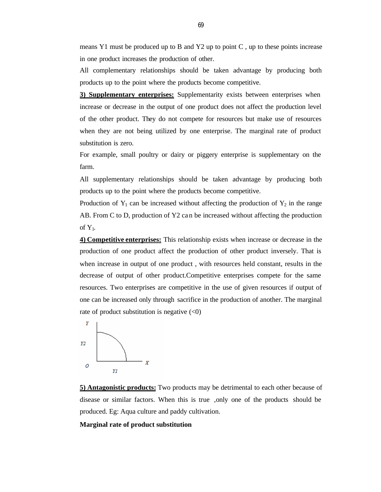means Y1 must be produced up to B and Y2 up to point  $C$ , up to these points increase in one product increases the production of other.

All complementary relationships should be taken advantage by producing both products up to the point where the products become competitive.

**3) Supplementary enterprises:** Supplementarity exists between enterprises when increase or decrease in the output of one product does not affect the production level of the other product. They do not compete for resources but make use of resources when they are not being utilized by one enterprise. The marginal rate of product substitution is zero.

For example, small poultry or dairy or piggery enterprise is supplementary on the farm.

All supplementary relationships should be taken advantage by producing both products up to the point where the products become competitive.

Production of  $Y_1$  can be increased without affecting the production of  $Y_2$  in the range AB. From C to D, production of Y2 ca n be increased without affecting the production of  $Y_1$ .

**4) Competitive enterprises:** This relationship exists when increase or decrease in the production of one product affect the production of other product inversely. That is when increase in output of one product , with resources held constant, results in the decrease of output of other product.Competitive enterprises compete for the same resources. Two enterprises are competitive in the use of given resources if output of one can be increased only through sacrifice in the production of another. The marginal rate of product substitution is negative  $(<0)$ 



**5) Antagonistic products:** Two products may be detrimental to each other because of disease or similar factors. When this is true ,only one of the products should be produced. Eg: Aqua culture and paddy cultivation.

## **Marginal rate of product substitution**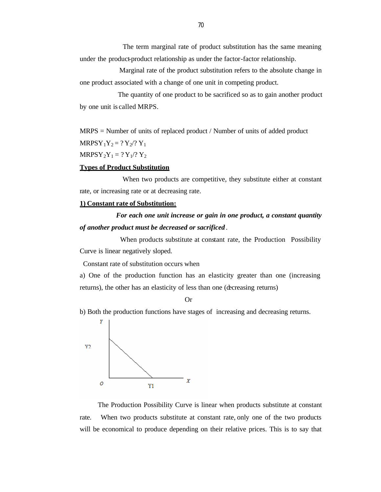The term marginal rate of product substitution has the same meaning under the product-product relationship as under the factor-factor relationship.

 Marginal rate of the product substitution refers to the absolute change in one product associated with a change of one unit in competing product.

 The quantity of one product to be sacrificed so as to gain another product by one unit is called MRPS.

MRPS = Number of units of replaced product / Number of units of added product  $MRPSY_1Y_2 = ?Y_2/?Y_1$ 

 $MRPSY_2Y_1 = ?Y_1$ /?  $Y_2$ 

## **Types of Product Substitution**

 When two products are competitive, they substitute either at constant rate, or increasing rate or at decreasing rate.

#### **1) Constant rate of Substitution:**

# *For each one unit increase or gain in one product, a constant quantity of another product must be decreased or sacrificed* .

 When products substitute at constant rate, the Production Possibility Curve is linear negatively sloped.

Constant rate of substitution occurs when

a) One of the production function has an elasticity greater than one (increasing returns), the other has an elasticity of less than one (decreasing returns)

Or

b) Both the production functions have stages of increasing and decreasing returns.



 The Production Possibility Curve is linear when products substitute at constant rate. When two products substitute at constant rate, only one of the two products will be economical to produce depending on their relative prices. This is to say that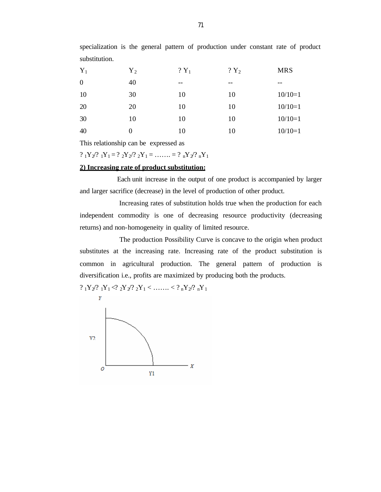| $Y_1$          | ${\rm Y}_2$ | $?Y_1$ | $?Y_2$ | <b>MRS</b> |
|----------------|-------------|--------|--------|------------|
| $\overline{0}$ | 40          | $- -$  | $- -$  | $- -$      |
| 10             | 30          | 10     | 10     | $10/10=1$  |
| 20             | 20          | 10     | 10     | $10/10=1$  |
| 30             | 10          | 10     | 10     | $10/10=1$  |
| 40             | $\theta$    | 10     | 10     | $10/10=1$  |

specialization is the general pattern of production under constant rate of product substitution.

This relationship can be expressed as

?  $_1Y_2$ ?  $_1Y_1 = ? 2Y_2$ ?  $_2Y_1 = \ldots = ? nY_2$ ?  $_nY_1$ 

## **2) Increasing rate of product substitution:**

 Each unit increase in the output of one product is accompanied by larger and larger sacrifice (decrease) in the level of production of other product.

 Increasing rates of substitution holds true when the production for each independent commodity is one of decreasing resource productivity (decreasing returns) and non-homogeneity in quality of limited resource.

 The production Possibility Curve is concave to the origin when product substitutes at the increasing rate. Increasing rate of the product substitution is common in agricultural production. The general pattern of production is diversification i.e., profits are maximized by producing both the products.

 $?_1Y_2/?_1Y_1 \leq ?_2Y_2/?_2Y_1 \leq \ldots \leq ?_nY_2/?_nY_1$ 

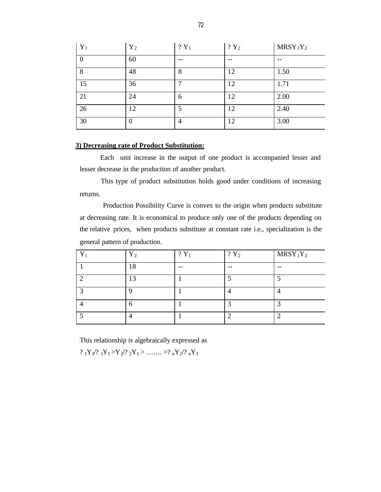| $Y_1$ | $Y_2$ | $?Y_1$ | $?Y_2$ | $MRSY_1Y_2$ |
|-------|-------|--------|--------|-------------|
|       | 60    |        | --     |             |
| 8     | 48    | 8      | 12     | 1.50        |
| 15    | 36    |        | 12     | 1.71        |
| 21    | 24    | 6      | 12     | 2.00        |
| 26    | 12    | 5      | 12     | 2.40        |
| 30    | 0     | 4      | 12     | 3.00        |

## **3) Decreasing rate of Product Substitution:**

Each unit increase in the output of one product is accompanied lesser and lesser decrease in the production of another product.

This type of product substitution holds good under conditions of increasing returns.

 Production Possibility Curve is convex to the origin when products substitute at decreasing rate. It is economical to produce only one of the products depending on the relative prices, when products substitute at constant rate i.e., specialization is the general pattern of production.

| $\mathbf{v}$ | $Y_{2}$ | $?Y_1$ | $?Y_2$ | $MRSY_1Y_2$ |
|--------------|---------|--------|--------|-------------|
|              | 8       | --     | $- -$  | --          |
|              | 13      |        |        |             |
|              |         |        |        |             |
|              | 6       |        |        |             |
|              |         |        |        |             |

This relationship is algebraically expressed as

 $?_1Y_2/?_1Y_1 > Y_2/?_2Y_1 > \ldots > ?_nY_2/?_nY_1$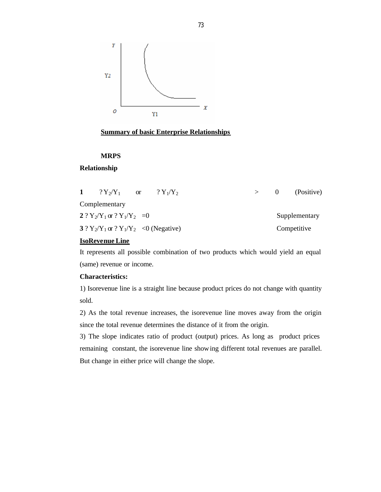

### **Summary of basic Enterprise Relationships**

### **MRPS**

### **Relationship**

| $?Y_2/Y_1$ or                               | $?Y_1/Y_2$ |  | $\theta$ | (Positive)    |
|---------------------------------------------|------------|--|----------|---------------|
| Complementary                               |            |  |          |               |
| 2 ? $Y_2/Y_1$ or ? $Y_1/Y_2 = 0$            |            |  |          | Supplementary |
| 3 ? $Y_2/Y_1$ or ? $Y_1/Y_2$ < 0 (Negative) |            |  |          | Competitive   |

### **IsoRevenue Line**

It represents all possible combination of two products which would yield an equal (same) revenue or income.

### **Characteristics:**

1) Isorevenue line is a straight line because product prices do not change with quantity sold.

2) As the total revenue increases, the isorevenue line moves away from the origin since the total revenue determines the distance of it from the origin.

3) The slope indicates ratio of product (output) prices. As long as product prices remaining constant, the isorevenue line showing different total revenues are parallel. But change in either price will change the slope.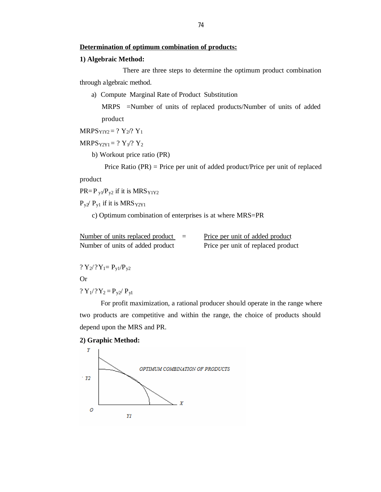### **1) Algebraic Method:**

 There are three steps to determine the optimum product combination through algebraic method.

a) Compute Marginal Rate of Product Substitution

MRPS =Number of units of replaced products/Number of units of added product

 $MRPS<sub>Y1Y2</sub> = ? Y<sub>2</sub>/? Y<sub>1</sub>$ 

 $MRPS<sub>YZY1</sub> = ? Y<sub>1</sub>/? Y<sub>2</sub>$ 

b) Workout price ratio (PR)

 Price Ratio (PR) = Price per unit of added product/Price per unit of replaced product

 $PR = P_{y1}/P_{y2}$  if it is  $MRS_{Y1Y2}$ 

 $P_{y2}$   $P_{y1}$  if it is MRS  $_{Y2Y1}$ 

c) Optimum combination of enterprises is at where MRS=PR

| Number of units replaced product | $=$ | Price per unit of added product    |
|----------------------------------|-----|------------------------------------|
| Number of units of added product |     | Price per unit of replaced product |

? 
$$
Y_2
$$
 ?  $Y_1 = P_{y1}/P_{y2}$ 

Or

?  $Y_1$ /?  $Y_2 = P_{y2}$ / $P_{y1}$ 

For profit maximization, a rational producer should operate in the range where two products are competitive and within the range, the choice of products should depend upon the MRS and PR.

### **2) Graphic Method:**

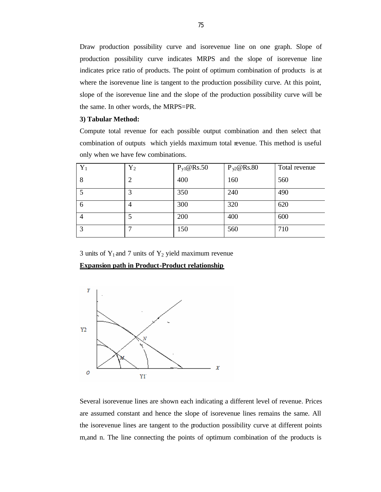Draw production possibility curve and isorevenue line on one graph. Slope of production possibility curve indicates MRPS and the slope of isorevenue line indicates price ratio of products. The point of optimum combination of products is at where the isorevenue line is tangent to the production possibility curve. At this point, slope of the isorevenue line and the slope of the production possibility curve will be the same. In other words, the MRPS=PR.

#### **3) Tabular Method:**

Compute total revenue for each possible output combination and then select that combination of outputs which yields maximum total revenue. This method is useful only when we have few combinations.

| $Y_1$        | ${\rm Y}_2$ | $P_{y1}$ @Rs.50 | $P_{y2}$ @Rs.80 | Total revenue |
|--------------|-------------|-----------------|-----------------|---------------|
| 8            | 2           | 400             | 160             | 560           |
|              | 3           | 350             | 240             | 490           |
| <sub>0</sub> |             | 300             | 320             | 620           |
|              |             | 200             | 400             | 600           |
|              |             | 150             | 560             | 710           |

3 units of  $Y_1$  and 7 units of  $Y_2$  yield maximum revenue

**Expansion path in Product-Product relationship**



Several isorevenue lines are shown each indicating a different level of revenue. Prices are assumed constant and hence the slope of isorevenue lines remains the same. All the isorevenue lines are tangent to the production possibility curve at different points m,and n. The line connecting the points of optimum combination of the products is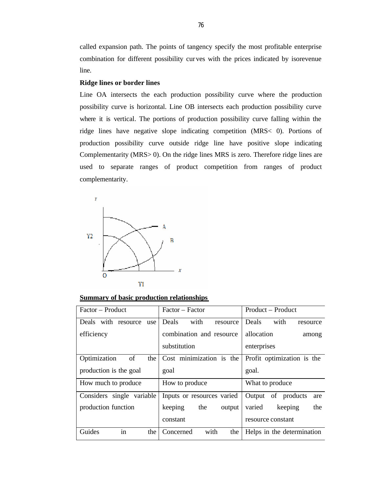called expansion path. The points of tangency specify the most profitable enterprise combination for different possibility cur ves with the prices indicated by isorevenue line.

### **Ridge lines or border lines**

Line OA intersects the each production possibility curve where the production possibility curve is horizontal. Line OB intersects each production possibility curve where it is vertical. The portions of production possibility curve falling within the ridge lines have negative slope indicating competition (MRS< 0). Portions of production possibility curve outside ridge line have positive slope indicating Complementarity (MRS> 0). On the ridge lines MRS is zero. Therefore ridge lines are used to separate ranges of product competition from ranges of product complementarity.



**Summary of basic production relationships**

| Factor – Product           | Factor – Factor            | Product – Product            |
|----------------------------|----------------------------|------------------------------|
| Deals with resource<br>use | with<br>Deals<br>resource  | Deals<br>with<br>resource    |
| efficiency                 | combination and resource   | allocation<br>among          |
|                            | substitution               | enterprises                  |
| Optimization<br>of<br>the  | Cost minimization is the   | Profit optimization is the   |
| production is the goal     | goal                       | goal.                        |
| How much to produce        | How to produce             | What to produce              |
| Considers single variable  | Inputs or resources varied | Output<br>of products<br>are |
| production function        | keeping<br>the<br>output   | the<br>varied<br>keeping     |
|                            | constant                   | resource constant            |
| in<br>Guides<br>the        | with<br>the<br>Concerned   | Helps in the determination   |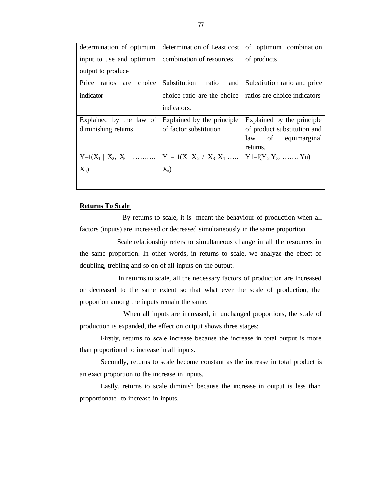| determination of optimum                 | determination of Least cost      | of optimum combination         |
|------------------------------------------|----------------------------------|--------------------------------|
| input to use and optimum                 | combination of resources         | of products                    |
| output to produce                        |                                  |                                |
| choice<br>Price<br>ratios<br>are         | Substitution<br>and<br>ratio     | Substitution ratio and price   |
| indicator                                | choice ratio are the choice      | ratios are choice indicators   |
|                                          | indicators.                      |                                |
| Explained by the law of $\vert$          | Explained by the principle       | Explained by the principle     |
| diminishing returns                      | of factor substitution           | of product substitution and    |
|                                          |                                  | law of equimarginal            |
|                                          |                                  | returns.                       |
| $Y = f(X_1   X_2, X_3 \dots \dots \dots$ | $Y = f(X_1 \ X_2 / X_3 \ X_4 \ $ | $Y1 = f(Y_2 Y_3, \ldots, Y_n)$ |
| $X_n$ )                                  | $X_n$ )                          |                                |
|                                          |                                  |                                |

#### **Returns To Scale**

 By returns to scale, it is meant the behaviour of production when all factors (inputs) are increased or decreased simultaneously in the same proportion.

 Scale relationship refers to simultaneous change in all the resources in the same proportion. In other words, in returns to scale, we analyze the effect of doubling, trebling and so on of all inputs on the output.

 In returns to scale, all the necessary factors of production are increased or decreased to the same extent so that what ever the scale of production, the proportion among the inputs remain the same.

 When all inputs are increased, in unchanged proportions, the scale of production is expanded, the effect on output shows three stages:

Firstly, returns to scale increase because the increase in total output is more than proportional to increase in all inputs.

Secondly, returns to scale become constant as the increase in total product is an exact proportion to the increase in inputs.

Lastly, returns to scale diminish because the increase in output is less than proportionate to increase in inputs.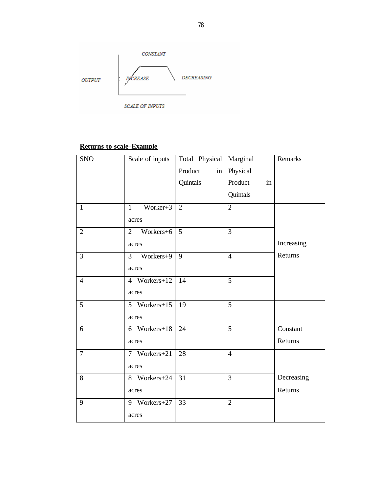

# **Returns to scale -Example**

| <b>SNO</b>     | Scale of inputs             | Total Physical   Marginal |                | Remarks    |
|----------------|-----------------------------|---------------------------|----------------|------------|
|                |                             | Product<br>in             | Physical       |            |
|                |                             | Quintals                  | Product<br>in  |            |
|                |                             |                           | Quintals       |            |
| $\mathbf{1}$   | Worker+3<br>$\mathbf{1}$    | $\overline{2}$            | $\overline{2}$ |            |
|                | acres                       |                           |                |            |
| $\overline{2}$ | Workers+6<br>$\overline{2}$ | $\overline{5}$            | $\overline{3}$ |            |
|                | acres                       |                           |                | Increasing |
| $\overline{3}$ | $\overline{3}$<br>Workers+9 | 9                         | $\overline{4}$ | Returns    |
|                | acres                       |                           |                |            |
| $\overline{4}$ | 4 Workers+12                | 14                        | 5              |            |
|                | acres                       |                           |                |            |
| $\overline{5}$ | 5 Workers+15                | 19                        | $\overline{5}$ |            |
|                | acres                       |                           |                |            |
| 6              | 6 Workers+18                | $\overline{24}$           | $\overline{5}$ | Constant   |
|                | acres                       |                           |                | Returns    |
| $\overline{7}$ | 7 Workers+21                | $\overline{28}$           | $\overline{4}$ |            |
|                | acres                       |                           |                |            |
| 8              | 8 Workers+24                | 31                        | $\overline{3}$ | Decreasing |
|                | acres                       |                           |                | Returns    |
| 9              | 9 Workers+27                | 33                        | $\overline{2}$ |            |
|                | acres                       |                           |                |            |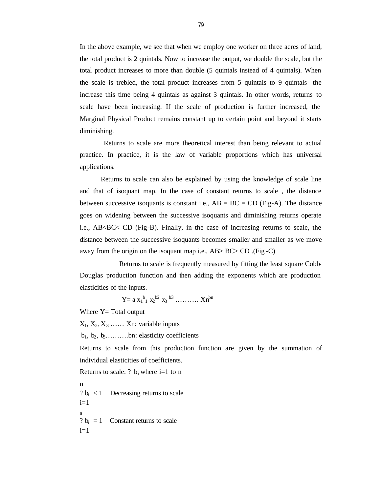In the above example, we see that when we employ one worker on three acres of land, the total product is 2 quintals. Now to increase the output, we double the scale, but the total product increases to more than double (5 quintals instead of 4 quintals). When the scale is trebled, the total product increases from 5 quintals to 9 quintals- the increase this time being 4 quintals as against 3 quintals. In other words, returns to scale have been increasing. If the scale of production is further increased, the Marginal Physical Product remains constant up to certain point and beyond it starts diminishing.

 Returns to scale are more theoretical interest than being relevant to actual practice. In practice, it is the law of variable proportions which has universal applications.

Returns to scale can also be explained by using the knowledge of scale line and that of isoquant map. In the case of constant returns to scale , the distance between successive isoquants is constant i.e.,  $AB = BC = CD$  (Fig-A). The distance goes on widening between the successive isoquants and diminishing returns operate i.e.,  $AB < BC < CD$  (Fig-B). Finally, in the case of increasing returns to scale, the distance between the successive isoquants becomes smaller and smaller as we move away from the origin on the isoquant map i.e., AB> BC> CD .(Fig -C)

 Returns to scale is frequently measured by fitting the least square Cobb-Douglas production function and then adding the exponents which are production elasticities of the inputs.

 $Y = a x_1<sup>b</sup>1 x_2<sup>b2</sup> x_3<sup>b3</sup> ... ... ... x_n<sup>bn</sup>$ 

Where  $Y = Total$  output

 $X_1, X_2, X_3, \ldots$  Xn: variable inputs

 $b_1, b_2, b_3, \ldots, b_n$ : elasticity coefficients

Returns to scale from this production function are given by the summation of individual elasticities of coefficients.

Returns to scale: ?  $b_i$  where i=1 to n

n ?  $b_i$  < 1 Decreasing returns to scale  $i=1$ n ?  $b_i = 1$  Constant returns to scale  $i=1$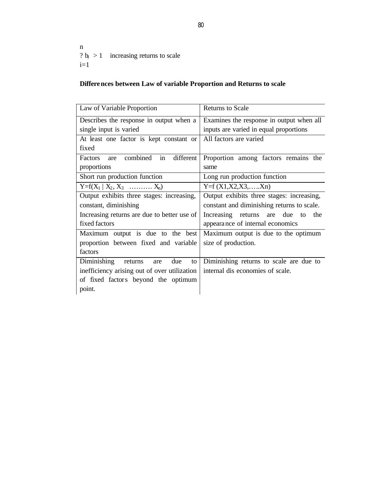n ?  $b_i > 1$  increasing returns to scale  $i=1$ 

# **Differences between Law of variable Proportion and Returns to scale**

| Law of Variable Proportion                    | <b>Returns to Scale</b>                    |
|-----------------------------------------------|--------------------------------------------|
| Describes the response in output when a       | Examines the response in output when all   |
| single input is varied                        | inputs are varied in equal proportions     |
| At least one factor is kept constant or       | All factors are varied                     |
| fixed                                         |                                            |
| combined<br>in<br>different<br>Factors<br>are | Proportion among factors remains the       |
| proportions                                   | same                                       |
| Short run production function                 | Long run production function               |
| $Y = f(X_1   X_2, X_3 \dots   X_n)$           | $Y = f(X1, X2, X3, \ldots, Xn)$            |
| Output exhibits three stages: increasing,     | Output exhibits three stages: increasing,  |
| constant, diminishing                         | constant and diminishing returns to scale. |
| Increasing returns are due to better use of   | Increasing returns are due to the          |
| fixed factors                                 | appearance of internal economics           |
| Maximum output is due to the best             | Maximum output is due to the optimum       |
| proportion between fixed and variable         | size of production.                        |
| factors                                       |                                            |
| Diminishing returns<br>due<br>are<br>to       | Diminishing returns to scale are due to    |
| inefficiency arising out of over utilization  | internal dis economies of scale.           |
| of fixed factors beyond the optimum           |                                            |
| point.                                        |                                            |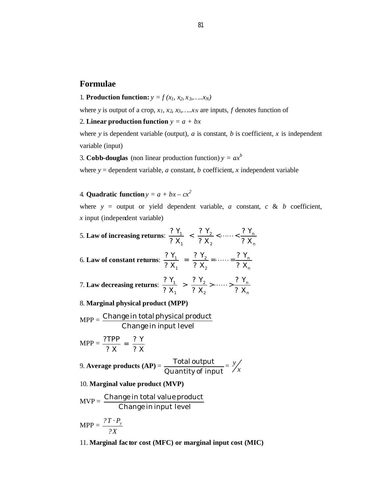# **Formulae**

1. **Production function:**  $y = f(x_1, x_2, x_3, \ldots, x_N)$ 

where *y* is output of a crop,  $x_1$ ,  $x_2$ ,  $x_3$ ,  $\ldots$ ,  $x_N$  are inputs, *f* denotes function of

2. **Linear production function**  $y = a + bx$ 

where *y* is dependent variable (output),  $a$  is constant,  $b$  is coefficient,  $x$  is independent variable (input)

3. **Cobb-douglas** (non linear production function)  $y = ax^b$ 

where  $y =$  dependent variable, *a* constant, *b* coefficient, *x* independent variable

4. **Quadratic function**  $y = a + bx - cx^2$ 

where  $y =$  output or yield dependent variable, *a* constant, *c* & *b* coefficient, *x* input (independent variable)

5. Law of increasing returns: 
$$
\frac{?Y_1}{?X_1} < \frac{?Y_2}{?X_2} < \cdots < \frac{?Y_n}{?X_n}
$$
\n6. Law of constant returns:  $\frac{?Y_1}{?X_1} = \frac{?Y_2}{?X_2} = \cdots = \frac{?Y_n}{?X_n}$ \n7. Law decreasing returns:  $\frac{?Y_1}{?X_1} > \frac{?Y_2}{?X_2} > \cdots > \frac{?Y_n}{?X_n}$ 

### 8. **Marginal physical product (MPP)**

$$
MPP = \frac{Change in total physical product}{Change in input level}
$$

$$
MPP = \frac{?TPP}{?X} = \frac{?Y}{?X}
$$

9. **Average products (AP)** = Quantity of input  $\frac{T}{T}$ otal output<br>antity of input *y*

# 10. **Marginal value product (MVP)**

$$
MVP = \frac{Change in total value product}{Change in input level}
$$

$$
\text{MPP} = \frac{?T \cdot P_{y}}{?X}
$$

11. **Marginal fac tor cost (MFC) or marginal input cost (MIC)**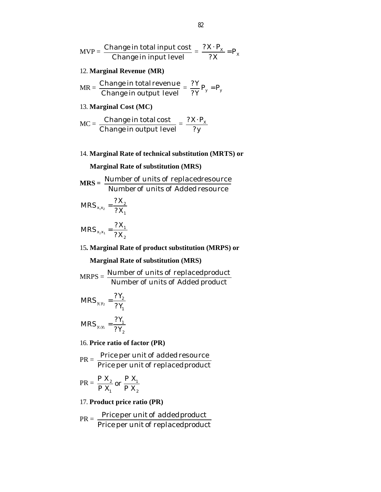$$
MVP = \frac{Change\ in\ total\ input\ cost}{Change\ in\ input\ level} = \frac{?X \cdot P_X}{?X} = P_X
$$

### 12. **Marginal Revenue (MR)**

MR = Change in total revenue = 
$$
\frac{?Y}{?Y}P_y = P_y
$$
  
Change in output level =  $\frac{?Y}{?Y}P_y = P_y$ 

### 13. **Marginal Cost (MC)**

$$
MC = \frac{Change\ in\ total\ cost}{Change\ in\ output\ level} = \frac{?X \cdot P_X}{?y}
$$

# 14. **Marginal Rate of technical substitution (MRTS) or**

### **Marginal Rate of substitution (MRS)**

$$
MRS = \frac{Number of units of replaced resonance}{Number of units of added resource}
$$

$$
MRS_{x_1x_2} = \frac{?X_2}{?X_1}
$$

$$
MRS_{x_2x_1} = \frac{?X_1}{?X_2}
$$

# 15**. Marginal Rate of product substitution (MRPS) or**

# **Marginal Rate of substitution (MRS)**

$$
MRPS = \frac{Number of units of replaced product}{Number of units of added product}
$$
  

$$
MRS_{y_1y_2} = \frac{?Y_2}{?Y_1}
$$
  

$$
MRS_{y_2y_1} = \frac{?Y_1}{?Y_2}
$$

# 16. **Price ratio of factor (PR)**

$$
PR = \frac{Price per unit of added resource}{Price per unit of replaced product}
$$

$$
PR = \frac{P X_2}{P X_1}
$$
 or  $\frac{P X_1}{P X_2}$ 

# 17. **Product price ratio (PR)**

$$
PR = \frac{Price\ per\ unit\ of\ added\ product}{Price\ per\ unit\ of\ replaced\ product}
$$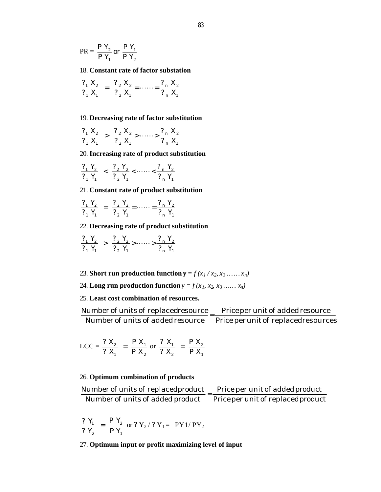$$
PR = \frac{P Y_2}{P Y_1} \text{ or } \frac{P Y_1}{P Y_2}
$$

### 18. **Constant rate of factor substation**

$$
\frac{?_{1} X_{2}}{?_{1} X_{1}} = \frac{?_{2} X_{2}}{?_{2} X_{1}} = \cdots = \frac{?_{n} X_{2}}{?_{n} X_{1}}
$$

### 19. **Decreasing rate of factor substitution**

$$
\frac{?_{1} X_{2}}{?_{1} X_{1}} > \frac{?_{2} X_{2}}{?_{2} X_{1}} > \cdots \cdots > \frac{?_{n} X_{2}}{?_{n} X_{1}}
$$

### 20. **Increasing rate of product substitution**

$$
\frac{?_{1} Y_{2}}{?_{1} Y_{1}} \leq \frac{?_{2} Y_{2}}{?_{2} Y_{1}} \leq \dots \leq \frac{?_{n} Y_{2}}{?_{n} Y_{1}}
$$

### 21. **Constant rate of product substitution**

$$
\frac{?_{1} Y_{2}}{?_{1} Y_{1}} = \frac{?_{2} Y_{2}}{?_{2} Y_{1}} = \cdots = \frac{?_{n} Y_{2}}{?_{n} Y_{1}}
$$

### 22. **Decreasing rate of product substitution**

$$
\frac{?_{1} Y_{2}}{?_{1} Y_{1}} > \frac{?_{2} Y_{2}}{?_{2} Y_{1}} > \cdots \cdots > \frac{?_{n} Y_{2}}{?_{n} Y_{1}}
$$

- 23. **Short run production function**  $\mathbf{y} = f(x_1/x_2, x_3, \dots, x_n)$
- 24. Long run production function  $y = f(x_1, x_2, x_3, \ldots, x_n)$

# 25. **Least cost combination of resources.**

Number of units of added resource — Price per unit of replacedresources Number of units of replacedresource  $=$   $\frac{\text{Price per unit of added resource}}{\text{True factor}}$ 

$$
LCC = \frac{? X_2}{? X_1} = \frac{P X_1}{P X_2} \text{ or } \frac{? X_1}{? X_2} = \frac{P X_2}{P X_1}
$$

### 26. **Optimum combination of products**

| Number of units of replaced product | Price per unit of added product    |
|-------------------------------------|------------------------------------|
| Number of units of added product    | Price per unit of replaced product |

$$
\frac{? Y_1}{? Y_2} = \frac{P Y_2}{P Y_1} \text{ or } ? Y_2 / ? Y_1 = PY1 / PY_2
$$

## 27. **Optimum input or profit maximizing level of input**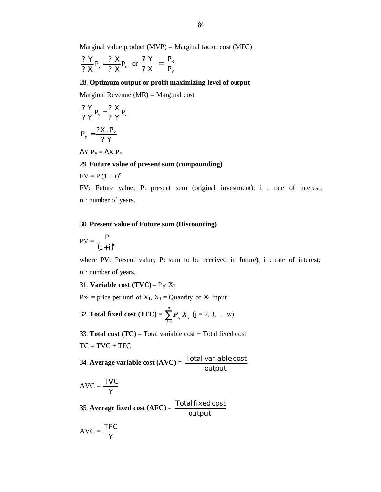Marginal value product  $(MVP)$  = Marginal factor cost  $(MFC)$ 

$$
\frac{?Y}{?X}P_y = \frac{?X}{?X}P_x \text{ or } \frac{?Y}{?X} = \frac{P_x}{P_y}
$$

## 28. **Optimum output or profit maximizing level of output**

Marginal Revenue  $(MR)$  = Marginal cost

$$
\frac{?Y}{?Y}P_{y} = \frac{?X}{?Y}P_{x}
$$

$$
P_{y} = \frac{?X.P_{x}}{?Y}
$$

 $\Delta$ Y.P<sub>y</sub> =  $\Delta$ X.P<sub>x</sub>

### 29. **Future value of present sum (compounding)**

$$
FV = P (1 + i)^n
$$

FV: Future value; P: present sum (original investment); i : rate of interest; n : number of years.

#### 30. **Present value of Future sum (Discounting)**

$$
PV = \frac{P}{(1+i)^n}
$$

where PV: Present value; P: sum to be received in future);  $i$  : rate of interest; n : number of years.

31. **Variable cost**  $(TVC) = P_{x1} \cdot X_1$ 

 $Px_1$  = price per unti of  $X_1$ ,  $X_1$  = Quantity of  $X_1$  input

32. Total fixed cost (TFC) = 
$$
\sum_{j=1}^{n} P_{x_j} X_j
$$
 (j = 2, 3, ... w)

33. **Total cost** ( $TC$ ) = Total variable cost + Total fixed cost

 $TC = TVC + TFC$ 

34. **Average variable cost (AVC)** = output Total variable cost

$$
AVC = \frac{TVC}{Y}
$$

35. **Average fixed cost (AFC)** = output Totalfixed cost

$$
AVC = \frac{TFC}{Y}
$$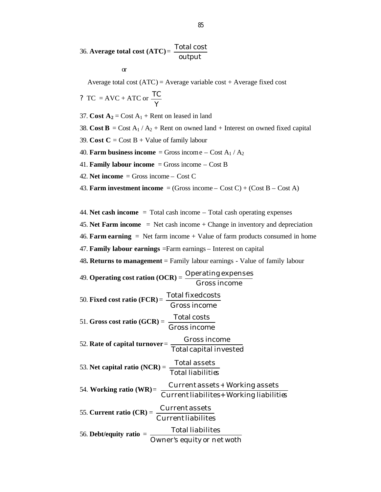36. **Average total cost (ATC)** = output Total cost

or

Average total cost  $(ATC)$  = Average variable cost + Average fixed cost

? TC = AVC + ATC or 
$$
\frac{TC}{Y}
$$

37. **Cost A**<sub>2</sub> = Cost A<sub>1</sub> + Rent on leased in land

38. **Cost B** = Cost  $A_1 / A_2$  + Rent on owned land + Interest on owned fixed capital

39. **Cost C** = Cost B + Value of family labour

40. **Farm business income** = Gross income  $-$  Cost A<sub>1</sub> / A<sub>2</sub>

41. **Family labour income** = Gross income – Cost B

42. **Net income** = Gross income – Cost C

43. **Farm investment income** = (Gross income – Cost C) + (Cost B – Cost A)

44. **Net cash income** = Total cash income – Total cash operating expenses

45. **Net Farm income** = Net cash income + Change in inventory and depreciation

46. **Farm earning**  $=$  Net farm income  $+$  Value of farm products consumed in home

47. **Family labour earnings** =Farm earnings – Interest on capital

48**. Returns to management** = Family labour earnings - Value of family labour

| 49. <b>Operating cost ration (OCR)</b> = $\frac{\text{Operating expenses}}{\text{Gross income}}$                                        |  |
|-----------------------------------------------------------------------------------------------------------------------------------------|--|
| 50. Fixed cost ratio $(\text{FCR}) = \frac{\text{Total fixed costs}}{\text{Gross income}}$                                              |  |
|                                                                                                                                         |  |
| 51. Gross cost ratio (GCR) = $\frac{\text{Total costs}}{\text{Gross income}}$                                                           |  |
|                                                                                                                                         |  |
| 52. Rate of capital turnover = $\frac{Gross\ income}{Total\ capital\ invested}$                                                         |  |
|                                                                                                                                         |  |
|                                                                                                                                         |  |
| 53. Net capital ratio $(NCR) = \frac{\text{Total assets}}{\text{Total liabilities}}$                                                    |  |
|                                                                                                                                         |  |
| 54. Working ratio (WR)= $\frac{\text{Current assets} + \text{Working assets}}{\text{Current liabilities} + \text{Working liabilities}}$ |  |
|                                                                                                                                         |  |
| 55. Current ratio $(CR) = \frac{Current \, assets}{Current \, liabilities}$                                                             |  |
| 56. Debt/equity ratio $=$ $\frac{\text{Total liabilities}}{\text{Owner's equity or net woth}}$                                          |  |
|                                                                                                                                         |  |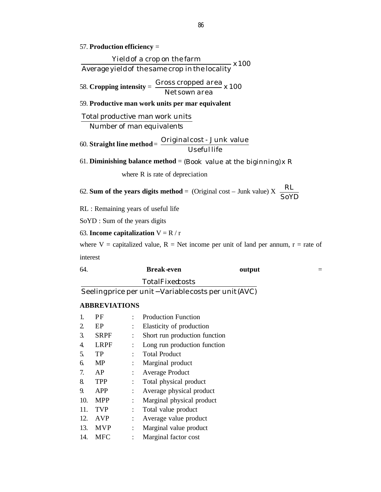### 57. **Production efficiency** =

 x 100 Average yieldof the same crop inthe locality Yieldof a crop on the farm

58. **Cropping intensity** =  $\frac{0.0055 \text{ ctopp} - 0.00000000000000000000000000}{x}$ Net sown area Gross cropped area

# 59. **Productive man work units per mar equivalent**

Number of man equivalents Total productive man work units

60. **Straight line method** = Originalcost - Junk value Useful life

61. **Diminishing balance method** = (Book value at the biginning) x R

where R is rate of depreciation

62. Sum of the years digits method = (Original cost – Junk value) X 
$$
\frac{RL}{SoYD}
$$

RL : Remaining years of useful life

SoYD : Sum of the years digits

```
63. Income capitalization V = R / r
```
where V = capitalized value, R = Net income per unit of land per annum,  $r =$  rate of interest

 $\overline{\phantom{a}}$ 

| 64. | <b>Break-even</b> | output | $\overline{\phantom{a}}$<br>= |
|-----|-------------------|--------|-------------------------------|
|     | TotalFixedosts    |        |                               |

Seeling price per unit – Variable costs per unit (AVC)

### **ABBREVIATIONS**

| 1.  | PF          |                | <b>Production Function</b>    |
|-----|-------------|----------------|-------------------------------|
| 2   | EP          | $\ddot{\cdot}$ | Elasticity of production      |
| 3.  | <b>SRPF</b> |                | Short run production function |
| 4.  | LRPF        | ÷              | Long run production function  |
| 5.  | TP          |                | <b>Total Product</b>          |
| 6.  | <b>MP</b>   |                | Marginal product              |
| 7.  | AP          | $\ddot{\cdot}$ | <b>Average Product</b>        |
| 8.  | <b>TPP</b>  | $\ddot{\cdot}$ | Total physical product        |
| 9.  | APP         |                | Average physical product      |
| 10. | <b>MPP</b>  |                | Marginal physical product     |
| 11. | <b>TVP</b>  | $\ddot{\cdot}$ | Total value product           |
| 12. | <b>AVP</b>  |                | Average value product         |
| 13. | <b>MVP</b>  | $\ddot{\cdot}$ | Marginal value product        |
| 14. | <b>MFC</b>  |                | Marginal factor cost          |